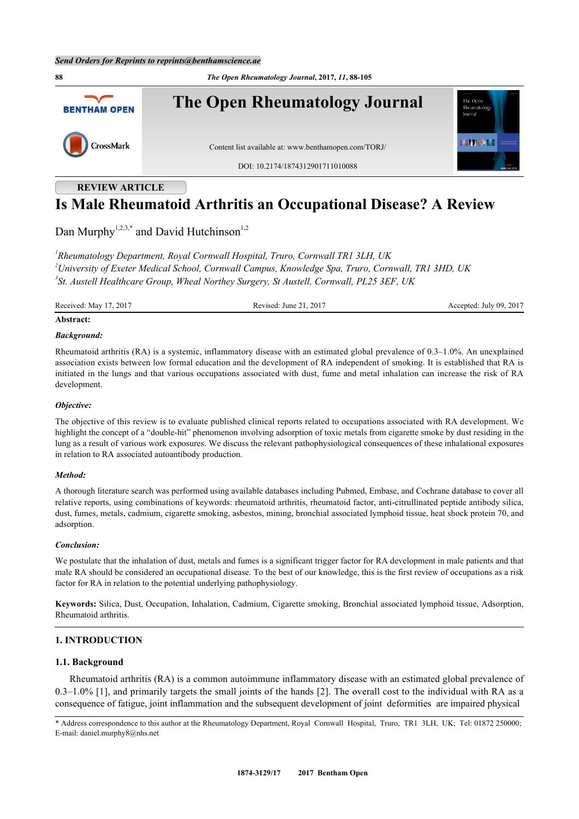**88** *The Open Rheumatology Journal***, 2017,** *11***, 88-105 The Open Rheumatology Journal** The Oper **BENTHAM OPEN** Rheumatolos **HITERIA** CrossMark Content list available at: [www.benthamopen.com/TORJ/](http://www.benthamopen.com/TORJ/) DOI: [10.2174/1874312901711010088](http://dx.doi.org/10.2174/1874312901711010088)

# **REVIEW ARTICLE**

# **Is Male Rheumatoid Arthritis an Occupational Disease? A Review**

Dan Murphy<sup>[1,](#page-0-0)[2,](#page-0-1)[3,](#page-0-2)\*</sup> and David Hutchinson<sup>[1](#page-0-0)[,2](#page-0-1)</sup>

<span id="page-0-2"></span><span id="page-0-1"></span><span id="page-0-0"></span>*1 Rheumatology Department, Royal Cornwall Hospital, Truro, Cornwall TR1 3LH, UK <sup>2</sup>University of Exeter Medical School, Cornwall Campus, Knowledge Spa, Truro, Cornwall, TR1 3HD, UK 3 St. Austell Healthcare Group, Wheal Northey Surgery, St Austell, Cornwall, PL25 3EF, UK*

Received: May 17, 2017 Revised: June 21, 2017 Revised: June 21, 2017 Accepted: July 09, 2017

# **Abstract:**

# *Background:*

Rheumatoid arthritis (RA) is a systemic, inflammatory disease with an estimated global prevalence of 0.3–1.0%. An unexplained association exists between low formal education and the development of RA independent of smoking. It is established that RA is initiated in the lungs and that various occupations associated with dust, fume and metal inhalation can increase the risk of RA development.

# *Objective:*

The objective of this review is to evaluate published clinical reports related to occupations associated with RA development. We highlight the concept of a "double-hit" phenomenon involving adsorption of toxic metals from cigarette smoke by dust residing in the lung as a result of various work exposures. We discuss the relevant pathophysiological consequences of these inhalational exposures in relation to RA associated autoantibody production.

# *Method:*

A thorough literature search was performed using available databases including Pubmed, Embase, and Cochrane database to cover all relative reports, using combinations of keywords: rheumatoid arthritis, rheumatoid factor, anti-citrullinated peptide antibody silica, dust, fumes, metals, cadmium, cigarette smoking, asbestos, mining, bronchial associated lymphoid tissue, heat shock protein 70, and adsorption.

#### *Conclusion:*

We postulate that the inhalation of dust, metals and fumes is a significant trigger factor for RA development in male patients and that male RA should be considered an occupational disease. To the best of our knowledge, this is the first review of occupations as a risk factor for RA in relation to the potential underlying pathophysiology.

**Keywords:** Silica, Dust, Occupation, Inhalation, Cadmium, Cigarette smoking, Bronchial associated lymphoid tissue, Adsorption, Rheumatoid arthritis.

# **1. INTRODUCTION**

# **1.1. Background**

Rheumatoid arthritis (RA) is a common autoimmune inflammatory disease with an estimated global prevalence of  $0.3-1.0\%$  [\[1](#page-13-0)], and primarily targets the small joints of the hands [\[2](#page-13-1)]. The overall cost to the individual with RA as a consequence of fatigue, joint inflammation and the subsequent development of joint deformities are impaired physical

<sup>\*</sup> Address correspondence to this author at the Rheumatology Department, Royal Cornwall Hospital, Truro, TR1 3LH, UK; Tel: 01872 250000; E-mail: [daniel.murphy8@nhs.net](mailto:daniel.murphy8@nhs.net)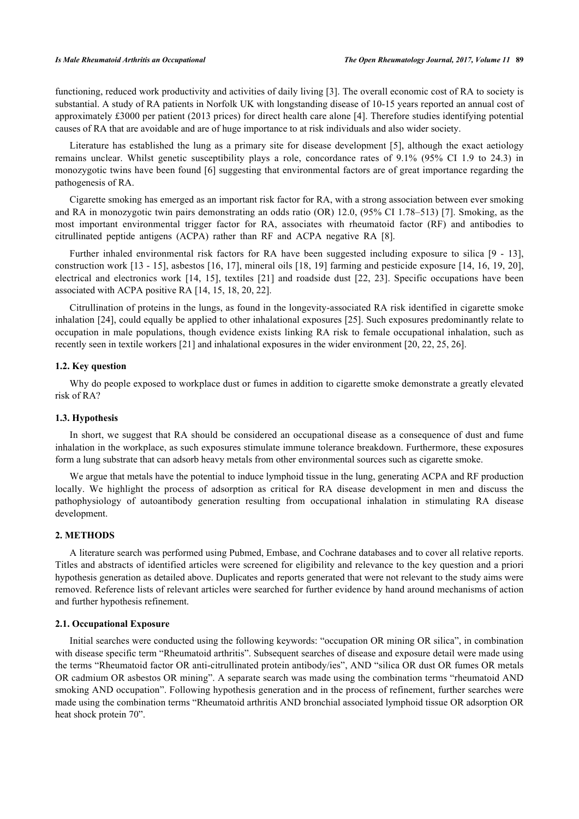functioning, reduced work productivity and activities of daily living [[3\]](#page-13-2). The overall economic cost of RA to society is substantial. A study of RA patients in Norfolk UK with longstanding disease of 10-15 years reported an annual cost of approximately £3000 per patient (2013 prices) for direct health care alone [\[4](#page-13-3)]. Therefore studies identifying potential causes of RA that are avoidable and are of huge importance to at risk individuals and also wider society.

Literature has established the lung as a primary site for disease development [\[5\]](#page-13-4), although the exact aetiology remains unclear. Whilst genetic susceptibility plays a role, concordance rates of 9.1% (95% CI 1.9 to 24.3) in monozygotic twins have been found [[6\]](#page-13-5) suggesting that environmental factors are of great importance regarding the pathogenesis of RA.

Cigarette smoking has emerged as an important risk factor for RA, with a strong association between ever smoking and RA in monozygotic twin pairs demonstrating an odds ratio (OR) 12.0, (95% CI 1.78–513) [[7\]](#page-13-6). Smoking, as the most important environmental trigger factor for RA, associates with rheumatoid factor (RF) and antibodies to citrullinated peptide antigens (ACPA) rather than RF and ACPA negative RA[[8\]](#page-13-7).

Further inhaled environmental risk factors for RA have been suggested including exposure to silica[[9](#page-13-8) - [13\]](#page-13-9), construction work [[13](#page-13-9) - [15](#page-13-10)], asbestos [[16](#page-13-11), [17\]](#page-13-12), mineral oils [\[18](#page-13-13), [19](#page-14-0)] farming and pesticide exposure [\[14](#page-13-14), [16](#page-13-11), [19,](#page-14-0) [20\]](#page-14-1), electrical and electronics work [\[14](#page-13-14), [15](#page-13-10)], textiles[[21\]](#page-14-2) and roadside dust [\[22,](#page-14-3) [23](#page-14-4)]. Specific occupations have been associated with ACPA positive RA [[14,](#page-13-14) [15,](#page-13-10) [18,](#page-13-13) [20,](#page-14-1) [22\]](#page-14-3).

Citrullination of proteins in the lungs, as found in the longevity-associated RA risk identified in cigarette smoke inhalation [[24\]](#page-14-5), could equally be applied to other inhalational exposures [[25\]](#page-14-6). Such exposures predominantly relate to occupation in male populations, though evidence exists linking RA risk to female occupational inhalation, such as recently seen in textile workers [\[21](#page-14-2)] and inhalational exposures in the wider environment [\[20](#page-14-1), [22](#page-14-3), [25](#page-14-6), [26](#page-14-7)].

# **1.2. Key question**

Why do people exposed to workplace dust or fumes in addition to cigarette smoke demonstrate a greatly elevated risk of RA?

### **1.3. Hypothesis**

In short, we suggest that RA should be considered an occupational disease as a consequence of dust and fume inhalation in the workplace, as such exposures stimulate immune tolerance breakdown. Furthermore, these exposures form a lung substrate that can adsorb heavy metals from other environmental sources such as cigarette smoke.

We argue that metals have the potential to induce lymphoid tissue in the lung, generating ACPA and RF production locally. We highlight the process of adsorption as critical for RA disease development in men and discuss the pathophysiology of autoantibody generation resulting from occupational inhalation in stimulating RA disease development.

### **2. METHODS**

A literature search was performed using Pubmed, Embase, and Cochrane databases and to cover all relative reports. Titles and abstracts of identified articles were screened for eligibility and relevance to the key question and a priori hypothesis generation as detailed above. Duplicates and reports generated that were not relevant to the study aims were removed. Reference lists of relevant articles were searched for further evidence by hand around mechanisms of action and further hypothesis refinement.

# **2.1. Occupational Exposure**

Initial searches were conducted using the following keywords: "occupation OR mining OR silica", in combination with disease specific term "Rheumatoid arthritis". Subsequent searches of disease and exposure detail were made using the terms "Rheumatoid factor OR anti-citrullinated protein antibody/ies", AND "silica OR dust OR fumes OR metals OR cadmium OR asbestos OR mining". A separate search was made using the combination terms "rheumatoid AND smoking AND occupation". Following hypothesis generation and in the process of refinement, further searches were made using the combination terms "Rheumatoid arthritis AND bronchial associated lymphoid tissue OR adsorption OR heat shock protein 70".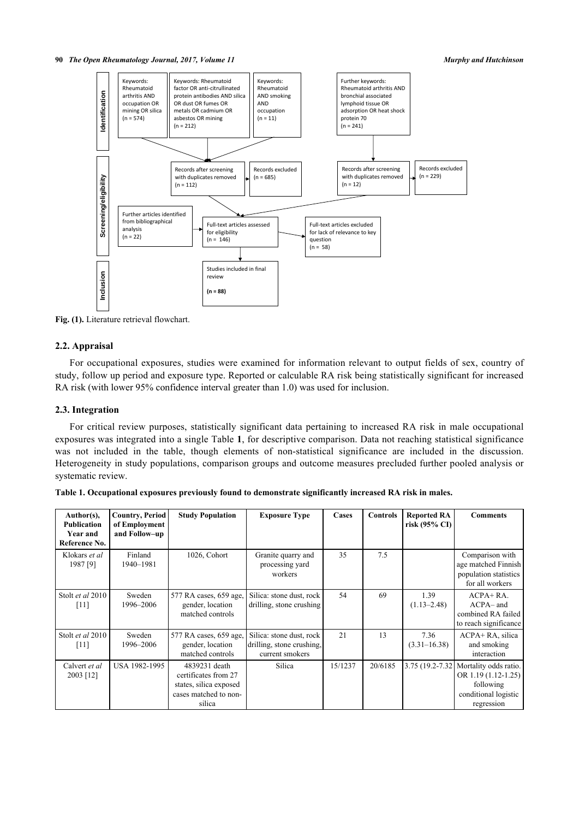**90** *The Open Rheumatology Journal, 2017, Volume 11 Murphy and Hutchinson*



**Fig. (1).** Literature retrieval flowchart.

# **2.2. Appraisal**

For occupational exposures, studies were examined for information relevant to output fields of sex, country of study, follow up period and exposure type. Reported or calculable RA risk being statistically significant for increased RA risk (with lower 95% confidence interval greater than 1.0) was used for inclusion.

# **2.3. Integration**

For critical review purposes, statistically significant data pertaining to increased RA risk in male occupational exposures was integrated into a single Table **[1](#page-2-0)**, for descriptive comparison. Data not reaching statistical significance was not included in the table, though elements of non-statistical significance are included in the discussion. Heterogeneity in study populations, comparison groups and outcome measures precluded further pooled analysis or systematic review.

| Author(s),<br><b>Publication</b><br>Year and<br>Reference No. | <b>Country, Period</b><br>of Employment<br>and Follow-up | <b>Study Population</b>                                                                            | <b>Exposure Type</b>                                                     | Cases   | <b>Controls</b> | <b>Reported RA</b><br>risk $(95\% \text{ CI})$ | <b>Comments</b>                                                                                                  |
|---------------------------------------------------------------|----------------------------------------------------------|----------------------------------------------------------------------------------------------------|--------------------------------------------------------------------------|---------|-----------------|------------------------------------------------|------------------------------------------------------------------------------------------------------------------|
| Klokars et al<br>1987 [9]                                     | Finland<br>1940-1981                                     | 1026, Cohort                                                                                       | Granite quarry and<br>processing yard<br>workers                         | 35      | 7.5             |                                                | Comparison with<br>age matched Finnish<br>population statistics<br>for all workers                               |
| Stolt et al 2010<br>$[11]$                                    | Sweden<br>1996-2006                                      | 577 RA cases, 659 age,<br>gender, location<br>matched controls                                     | Silica: stone dust, rock<br>drilling, stone crushing                     | 54      | 69              | 1.39<br>$(1.13 - 2.48)$                        | $ACPA+RA$ .<br>$ACPA-$ and<br>combined RA failed<br>to reach significance                                        |
| Stolt et al 2010<br>[11]                                      | Sweden<br>1996-2006                                      | 577 RA cases, 659 age,<br>gender, location<br>matched controls                                     | Silica: stone dust, rock<br>drilling, stone crushing,<br>current smokers | 21      | 13              | 7.36<br>$(3.31 - 16.38)$                       | ACPA+RA, silica<br>and smoking<br>interaction                                                                    |
| Calvert et al<br>2003 [12]                                    | USA 1982-1995                                            | 4839231 death<br>certificates from 27<br>states, silica exposed<br>cases matched to non-<br>silica | Silica                                                                   | 15/1237 | 20/6185         |                                                | 3.75 (19.2-7.32 Mortality odds ratio.<br>OR $1.19(1.12-1.25)$<br>following<br>conditional logistic<br>regression |

<span id="page-2-0"></span>

|  |  |  | Table 1. Occupational exposures previously found to demonstrate significantly increased RA risk in males. |
|--|--|--|-----------------------------------------------------------------------------------------------------------|
|  |  |  |                                                                                                           |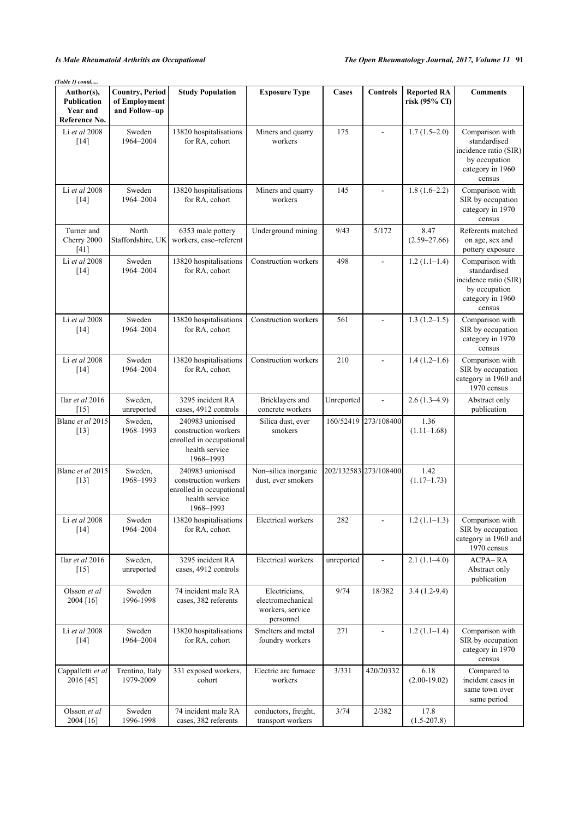| (Table 1) contd<br>Author(s),                          | <b>Country, Period</b>         | <b>Study Population</b>                                                                             | <b>Exposure Type</b>                                                | Cases      | Controls                 | <b>Reported RA</b>       | <b>Comments</b>                                                                                         |
|--------------------------------------------------------|--------------------------------|-----------------------------------------------------------------------------------------------------|---------------------------------------------------------------------|------------|--------------------------|--------------------------|---------------------------------------------------------------------------------------------------------|
| <b>Publication</b><br><b>Year and</b><br>Reference No. | of Employment<br>and Follow-up |                                                                                                     |                                                                     |            |                          | risk (95% CI)            |                                                                                                         |
| Li et al 2008<br>$[14]$                                | Sweden<br>1964-2004            | 13820 hospitalisations<br>for RA, cohort                                                            | Miners and quarry<br>workers                                        | 175        | $\blacksquare$           | $1.7(1.5-2.0)$           | Comparison with<br>standardised<br>incidence ratio (SIR)<br>by occupation<br>category in 1960<br>census |
| Li et al 2008<br>$[14]$                                | Sweden<br>1964-2004            | 13820 hospitalisations<br>for RA, cohort                                                            | Miners and quarry<br>workers                                        | 145        | $\sim$                   | $1.8(1.6-2.2)$           | Comparison with<br>SIR by occupation<br>category in 1970<br>census                                      |
| Turner and<br>Cherry 2000<br>$[41]$                    | North<br>Staffordshire, UK     | 6353 male pottery<br>workers, case-referent                                                         | Underground mining                                                  | 9/43       | 5/172                    | 8.47<br>$(2.59 - 27.66)$ | Referents matched<br>on age, sex and<br>pottery exposure                                                |
| Li et al 2008<br>$[14]$                                | Sweden<br>1964-2004            | 13820 hospitalisations<br>for RA, cohort                                                            | Construction workers                                                | 498        | $\overline{\phantom{a}}$ | $1.2(1.1-1.4)$           | Comparison with<br>standardised<br>incidence ratio (SIR)<br>by occupation<br>category in 1960<br>census |
| Li et al 2008<br>$[14]$                                | Sweden<br>1964-2004            | 13820 hospitalisations<br>for RA, cohort                                                            | Construction workers                                                | 561        | $\overline{\phantom{a}}$ | $1.3(1.2-1.5)$           | Comparison with<br>SIR by occupation<br>category in 1970<br>census                                      |
| Li et al 2008<br>$[14]$                                | Sweden<br>1964-2004            | 13820 hospitalisations<br>for RA, cohort                                                            | Construction workers                                                | 210        | $\overline{a}$           | $1.4(1.2-1.6)$           | Comparison with<br>SIR by occupation<br>category in 1960 and<br>1970 census                             |
| Ilar et al 2016<br>$[15]$                              | Sweden,<br>unreported          | 3295 incident RA<br>cases, 4912 controls                                                            | Bricklayers and<br>concrete workers                                 | Unreported | $\frac{1}{2}$            | $2.6(1.3-4.9)$           | Abstract only<br>publication                                                                            |
| Blanc et al 2015<br>$[13]$                             | Sweden,<br>1968-1993           | 240983 unionised<br>construction workers<br>enrolled in occupational<br>health service<br>1968-1993 | Silica dust, ever<br>smokers                                        | 160/52419  | 273/108400               | 1.36<br>$(1.11-1.68)$    |                                                                                                         |
| Blanc et al 2015<br>$[13]$                             | Sweden,<br>1968-1993           | 240983 unionised<br>construction workers<br>enrolled in occupational<br>health service<br>1968-1993 | Non-silica inorganic<br>dust, ever smokers                          |            | 202/132583 273/108400    | 1.42<br>$(1.17-1.73)$    |                                                                                                         |
| Li et al 2008<br>$[14]$                                | Sweden<br>1964-2004            | 13820 hospitalisations<br>for RA, cohort                                                            | Electrical workers                                                  | 282        | $\overline{\phantom{a}}$ | $1.2(1.1-1.3)$           | Comparison with<br>SIR by occupation<br>category in 1960 and<br>1970 census                             |
| Ilar et al 2016<br>$[15]$                              | Sweden,<br>unreported          | 3295 incident RA<br>cases, 4912 controls                                                            | Electrical workers                                                  | unreported | $\overline{\phantom{a}}$ | $2.1(1.1-4.0)$           | <b>ACPA-RA</b><br>Abstract only<br>publication                                                          |
| Olsson et al<br>2004 [16]                              | Sweden<br>1996-1998            | 74 incident male RA<br>cases, 382 referents                                                         | Electricians,<br>electromechanical<br>workers, service<br>personnel | 9/74       | 18/382                   | $3.4(1.2-9.4)$           |                                                                                                         |
| Li et al 2008<br>$[14]$                                | Sweden<br>1964-2004            | 13820 hospitalisations<br>for RA, cohort                                                            | Smelters and metal<br>foundry workers                               | 271        | $\blacksquare$           | $1.2(1.1-1.4)$           | Comparison with<br>SIR by occupation<br>category in 1970<br>census                                      |
| Cappalletti et al<br>2016 [45]                         | Trentino, Italy<br>1979-2009   | 331 exposed workers,<br>cohort                                                                      | Electric arc furnace<br>workers                                     | 3/331      | 420/20332                | 6.18<br>$(2.00-19.02)$   | Compared to<br>incident cases in<br>same town over<br>same period                                       |
| Olsson et al<br>2004 [16]                              | Sweden<br>1996-1998            | 74 incident male RA<br>cases, 382 referents                                                         | conductors, freight,<br>transport workers                           | 3/74       | 2/382                    | 17.8<br>$(1.5 - 207.8)$  |                                                                                                         |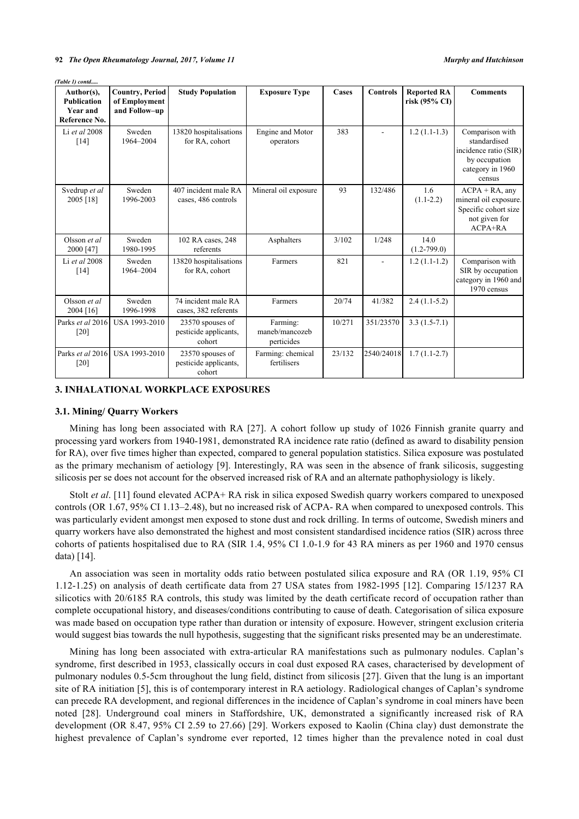*(Table 1) contd.....*

| Author(s),<br><b>Publication</b><br><b>Year and</b><br>Reference No. | <b>Country, Period</b><br>of Employment<br>and Follow-up | <b>Study Population</b>                             | <b>Exposure Type</b>                     | Cases  | <b>Controls</b> | <b>Reported RA</b><br>risk (95% CI) | <b>Comments</b>                                                                                         |
|----------------------------------------------------------------------|----------------------------------------------------------|-----------------------------------------------------|------------------------------------------|--------|-----------------|-------------------------------------|---------------------------------------------------------------------------------------------------------|
| Li et al 2008<br>$[14]$                                              | Sweden<br>1964-2004                                      | 13820 hospitalisations<br>for RA, cohort            | Engine and Motor<br>operators            | 383    |                 | $1.2(1.1-1.3)$                      | Comparison with<br>standardised<br>incidence ratio (SIR)<br>by occupation<br>category in 1960<br>census |
| Svedrup et al<br>2005 [18]                                           | Sweden<br>1996-2003                                      | 407 incident male RA<br>cases, 486 controls         | Mineral oil exposure                     | 93     | 132/486         | 1.6<br>$(1.1-2.2)$                  | $ACPA + RA$ , any<br>mineral oil exposure.<br>Specific cohort size<br>not given for<br>ACPA+RA          |
| Olsson et al.<br>2000 [47]                                           | Sweden<br>1980-1995                                      | 102 RA cases, 248<br>referents                      | Asphalters                               | 3/102  | 1/248           | 14.0<br>$(1.2 - 799.0)$             |                                                                                                         |
| Li et al $2008$<br>[14]                                              | Sweden<br>1964-2004                                      | 13820 hospitalisations<br>for RA, cohort            | Farmers                                  | 821    |                 | $1.2(1.1-1.2)$                      | Comparison with<br>SIR by occupation<br>category in 1960 and<br>1970 census                             |
| Olsson et al.<br>2004 [16]                                           | Sweden<br>1996-1998                                      | 74 incident male RA<br>cases, 382 referents         | Farmers                                  | 20/74  | 41/382          | $2.4(1.1-5.2)$                      |                                                                                                         |
| Parks et al 2016<br>$\lceil 20 \rceil$                               | USA 1993-2010                                            | 23570 spouses of<br>pesticide applicants,<br>cohort | Farming:<br>maneb/mancozeb<br>perticides | 10/271 | 351/23570       | $3.3(1.5-7.1)$                      |                                                                                                         |
| Parks et al 2016<br>$[20]$                                           | USA 1993-2010                                            | 23570 spouses of<br>pesticide applicants,<br>cohort | Farming: chemical<br>fertilisers         | 23/132 | 2540/24018      | $1.7(1.1-2.7)$                      |                                                                                                         |

# **3. INHALATIONAL WORKPLACE EXPOSURES**

### **3.1. Mining/ Quarry Workers**

Mining has long been associated with RA[[27\]](#page-14-8). A cohort follow up study of 1026 Finnish granite quarry and processing yard workers from 1940-1981, demonstrated RA incidence rate ratio (defined as award to disability pension for RA), over five times higher than expected, compared to general population statistics. Silica exposure was postulated as the primary mechanism of aetiology [\[9](#page-13-8)]. Interestingly, RA was seen in the absence of frank silicosis, suggesting silicosis per se does not account for the observed increased risk of RA and an alternate pathophysiology is likely.

Stolt *et al*. [\[11](#page-13-15)] found elevated ACPA+ RA risk in silica exposed Swedish quarry workers compared to unexposed controls (OR 1.67, 95% CI 1.13–2.48), but no increased risk of ACPA- RA when compared to unexposed controls. This was particularly evident amongst men exposed to stone dust and rock drilling. In terms of outcome, Swedish miners and quarry workers have also demonstrated the highest and most consistent standardised incidence ratios (SIR) across three cohorts of patients hospitalised due to RA (SIR 1.4, 95% CI 1.0-1.9 for 43 RA miners as per 1960 and 1970 census data) [[14\]](#page-13-14).

An association was seen in mortality odds ratio between postulated silica exposure and RA (OR 1.19, 95% CI 1.12-1.25) on analysis of death certificate data from 27 USA states from 1982-1995 [\[12\]](#page-13-16). Comparing 15/1237 RA silicotics with 20/6185 RA controls, this study was limited by the death certificate record of occupation rather than complete occupational history, and diseases/conditions contributing to cause of death. Categorisation of silica exposure was made based on occupation type rather than duration or intensity of exposure. However, stringent exclusion criteria would suggest bias towards the null hypothesis, suggesting that the significant risks presented may be an underestimate.

Mining has long been associated with extra-articular RA manifestations such as pulmonary nodules. Caplan's syndrome, first described in 1953, classically occurs in coal dust exposed RA cases, characterised by development of pulmonary nodules 0.5-5cm throughout the lung field, distinct from silicosis [\[27\]](#page-14-8). Given that the lung is an important site of RA initiation [\[5\]](#page-13-4), this is of contemporary interest in RA aetiology. Radiological changes of Caplan's syndrome can precede RA development, and regional differences in the incidence of Caplan's syndrome in coal miners have been noted[[28](#page-14-9)]. Underground coal miners in Staffordshire, UK, demonstrated a significantly increased risk of RA development (OR 8.47, 95% CI 2.59 to 27.66) [\[29\]](#page-14-10). Workers exposed to Kaolin (China clay) dust demonstrate the highest prevalence of Caplan's syndrome ever reported, 12 times higher than the prevalence noted in coal dust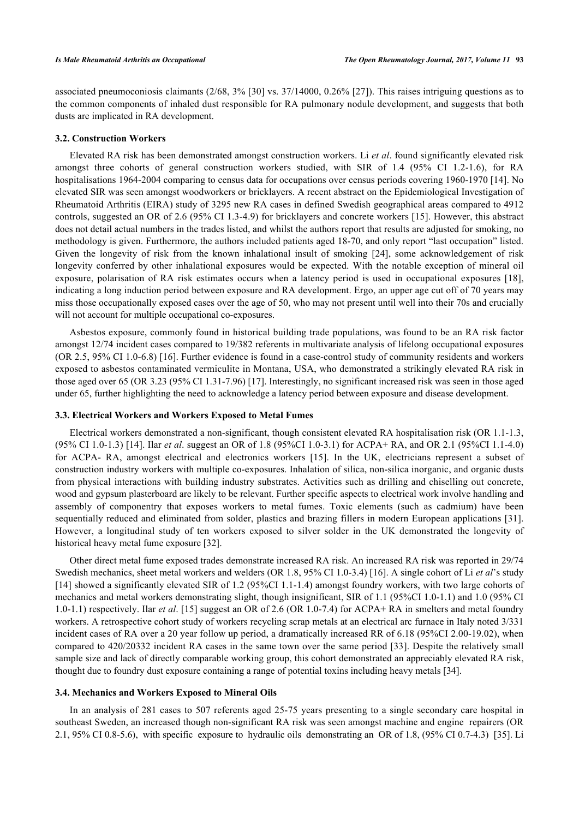associated pneumoconiosis claimants (2/68, 3% [[30\]](#page-14-11) vs. 37/14000, 0.26% [[27\]](#page-14-8)). This raises intriguing questions as to the common components of inhaled dust responsible for RA pulmonary nodule development, and suggests that both dusts are implicated in RA development.

# **3.2. Construction Workers**

Elevated RA risk has been demonstrated amongst construction workers. Li *et al*. found significantly elevated risk amongst three cohorts of general construction workers studied, with SIR of 1.4 (95% CI 1.2-1.6), for RA hospitalisations 1964-2004 comparing to census data for occupations over census periods covering 1960-1970 [[14\]](#page-13-14). No elevated SIR was seen amongst woodworkers or bricklayers. A recent abstract on the Epidemiological Investigation of Rheumatoid Arthritis (EIRA) study of 3295 new RA cases in defined Swedish geographical areas compared to 4912 controls, suggested an OR of 2.6 (95% CI 1.3-4.9) for bricklayers and concrete workers [[15](#page-13-10)]. However, this abstract does not detail actual numbers in the trades listed, and whilst the authors report that results are adjusted for smoking, no methodology is given. Furthermore, the authors included patients aged 18-70, and only report "last occupation" listed. Given the longevity of risk from the known inhalational insult of smoking[[24](#page-14-5)], some acknowledgement of risk longevity conferred by other inhalational exposures would be expected. With the notable exception of mineral oil exposure, polarisation of RA risk estimates occurs when a latency period is used in occupational exposures [\[18\]](#page-13-13), indicating a long induction period between exposure and RA development. Ergo, an upper age cut off of 70 years may miss those occupationally exposed cases over the age of 50, who may not present until well into their 70s and crucially will not account for multiple occupational co-exposures.

Asbestos exposure, commonly found in historical building trade populations, was found to be an RA risk factor amongst 12/74 incident cases compared to 19/382 referents in multivariate analysis of lifelong occupational exposures (OR 2.5, 95% CI 1.0-6.8) [[16\]](#page-13-11). Further evidence is found in a case-control study of community residents and workers exposed to asbestos contaminated vermiculite in Montana, USA, who demonstrated a strikingly elevated RA risk in those aged over 65 (OR 3.23 (95% CI 1.31-7.96) [\[17](#page-13-12)]. Interestingly, no significant increased risk was seen in those aged under 65, further highlighting the need to acknowledge a latency period between exposure and disease development.

# **3.3. Electrical Workers and Workers Exposed to Metal Fumes**

Electrical workers demonstrated a non-significant, though consistent elevated RA hospitalisation risk (OR 1.1-1.3, (95% CI 1.0-1.3) [[14](#page-13-14)]. Ilar *et al*. suggest an OR of 1.8 (95%CI 1.0-3.1) for ACPA+ RA, and OR 2.1 (95%CI 1.1-4.0) for ACPA- RA, amongst electrical and electronics workers [\[15\]](#page-13-10). In the UK, electricians represent a subset of construction industry workers with multiple co-exposures. Inhalation of silica, non-silica inorganic, and organic dusts from physical interactions with building industry substrates. Activities such as drilling and chiselling out concrete, wood and gypsum plasterboard are likely to be relevant. Further specific aspects to electrical work involve handling and assembly of componentry that exposes workers to metal fumes. Toxic elements (such as cadmium) have been sequentially reduced and eliminated from solder, plastics and brazing fillers in modern European applications [\[31\]](#page-14-12). However, a longitudinal study of ten workers exposed to silver solder in the UK demonstrated the longevity of historical heavy metal fume exposure [\[32](#page-14-13)].

Other direct metal fume exposed trades demonstrate increased RA risk. An increased RA risk was reported in 29/74 Swedish mechanics, sheet metal workers and welders (OR 1.8, 95% CI 1.0-3.4) [[16\]](#page-13-11). A single cohort of Li *et al*'s study [\[14](#page-13-14)] showed a significantly elevated SIR of 1.2 (95%CI 1.1-1.4) amongst foundry workers, with two large cohorts of mechanics and metal workers demonstrating slight, though insignificant, SIR of 1.1 (95%CI 1.0-1.1) and 1.0 (95% CI 1.0-1.1) respectively. Ilar *et al*. [[15\]](#page-13-10) suggest an OR of 2.6 (OR 1.0-7.4) for ACPA+ RA in smelters and metal foundry workers. A retrospective cohort study of workers recycling scrap metals at an electrical arc furnace in Italy noted 3/331 incident cases of RA over a 20 year follow up period, a dramatically increased RR of 6.18 (95%CI 2.00-19.02), when compared to 420/20332 incident RA cases in the same town over the same period [[33](#page-14-14)]. Despite the relatively small sample size and lack of directly comparable working group, this cohort demonstrated an appreciably elevated RA risk, thought due to foundry dust exposure containing a range of potential toxins including heavy metals [\[34](#page-14-15)].

#### **3.4. Mechanics and Workers Exposed to Mineral Oils**

In an analysis of 281 cases to 507 referents aged 25-75 years presenting to a single secondary care hospital in southeast Sweden, an increased though non-significant RA risk was seen amongst machine and engine repairers (OR 2.1, 95% CI 0.8-5.6), with specific exposure to hydraulic oils demonstrating an OR of 1.8, (95% CI 0.7-4.3) [\[35](#page-14-16)]. Li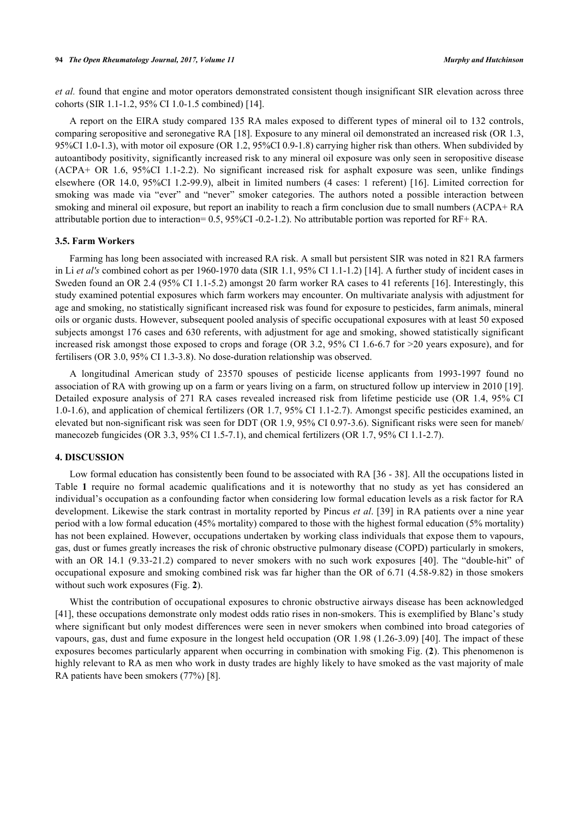*et al.* found that engine and motor operators demonstrated consistent though insignificant SIR elevation across three cohorts (SIR 1.1-1.2, 95% CI 1.0-1.5 combined) [\[14](#page-13-14)].

A report on the EIRA study compared 135 RA males exposed to different types of mineral oil to 132 controls, comparing seropositive and seronegative RA [[18\]](#page-13-13). Exposure to any mineral oil demonstrated an increased risk (OR 1.3, 95%CI 1.0-1.3), with motor oil exposure (OR 1.2, 95%CI 0.9-1.8) carrying higher risk than others. When subdivided by autoantibody positivity, significantly increased risk to any mineral oil exposure was only seen in seropositive disease (ACPA+ OR 1.6, 95%CI 1.1-2.2). No significant increased risk for asphalt exposure was seen, unlike findings elsewhere (OR 14.0, 95%CI 1.2-99.9), albeit in limited numbers (4 cases: 1 referent) [\[16\]](#page-13-11). Limited correction for smoking was made via "ever" and "never" smoker categories. The authors noted a possible interaction between smoking and mineral oil exposure, but report an inability to reach a firm conclusion due to small numbers (ACPA+ RA attributable portion due to interaction= 0.5, 95%CI -0.2-1.2). No attributable portion was reported for RF+ RA.

# **3.5. Farm Workers**

Farming has long been associated with increased RA risk. A small but persistent SIR was noted in 821 RA farmers in Li *et al's* combined cohort as per 1960-1970 data (SIR 1.1, 95% CI 1.1-1.2) [\[14](#page-13-14)]. A further study of incident cases in Sweden found an OR 2.4 (95% CI 1.1-5.2) amongst 20 farm worker RA cases to 41 referents [[16\]](#page-13-11). Interestingly, this study examined potential exposures which farm workers may encounter. On multivariate analysis with adjustment for age and smoking, no statistically significant increased risk was found for exposure to pesticides, farm animals, mineral oils or organic dusts. However, subsequent pooled analysis of specific occupational exposures with at least 50 exposed subjects amongst 176 cases and 630 referents, with adjustment for age and smoking, showed statistically significant increased risk amongst those exposed to crops and forage (OR 3.2, 95% CI 1.6-6.7 for >20 years exposure), and for fertilisers (OR 3.0, 95% CI 1.3-3.8). No dose-duration relationship was observed.

A longitudinal American study of 23570 spouses of pesticide license applicants from 1993-1997 found no association of RA with growing up on a farm or years living on a farm, on structured follow up interview in 2010 [[19\]](#page-14-0). Detailed exposure analysis of 271 RA cases revealed increased risk from lifetime pesticide use (OR 1.4, 95% CI 1.0-1.6), and application of chemical fertilizers (OR 1.7, 95% CI 1.1-2.7). Amongst specific pesticides examined, an elevated but non-significant risk was seen for DDT (OR 1.9, 95% CI 0.97-3.6). Significant risks were seen for maneb/ manecozeb fungicides (OR 3.3, 95% CI 1.5-7.1), and chemical fertilizers (OR 1.7, 95% CI 1.1-2.7).

# **4. DISCUSSION**

Low formal education has consistently been found to be associated with RA [\[36](#page-14-17) - [38](#page-14-18)]. All the occupations listed in Table**1** require no formal academic qualifications and it is noteworthy that no study as yet has considered an individual's occupation as a confounding factor when considering low formal education levels as a risk factor for RA development. Likewise the stark contrast in mortality reported by Pincus *et al*. [[39](#page-14-19)] in RA patients over a nine year period with a low formal education (45% mortality) compared to those with the highest formal education (5% mortality) has not been explained. However, occupations undertaken by working class individuals that expose them to vapours, gas, dust or fumes greatly increases the risk of chronic obstructive pulmonary disease (COPD) particularly in smokers, withan OR 14.1 (9.33-21.2) compared to never smokers with no such work exposures [[40](#page-15-3)]. The "double-hit" of occupational exposure and smoking combined risk was far higher than the OR of 6.71 (4.58-9.82) in those smokers without such work exposures (Fig. **[2](#page-6-0)**).

<span id="page-6-0"></span>Whist the contribution of occupational exposures to chronic obstructive airways disease has been acknowledged [\[41](#page-15-0)], these occupations demonstrate only modest odds ratio rises in non-smokers. This is exemplified by Blanc's study where significant but only modest differences were seen in never smokers when combined into broad categories of vapours, gas, dust and fume exposure in the longest held occupation (OR 1.98 (1.26-3.09) [[40](#page-15-3)]. The impact of these exposures becomes particularly apparent when occurring in combination with smoking Fig. (**[2](#page-6-0)**). This phenomenon is highly relevant to RA as men who work in dusty trades are highly likely to have smoked as the vast majority of male RA patients have been smokers (77%) [\[8](#page-13-7)].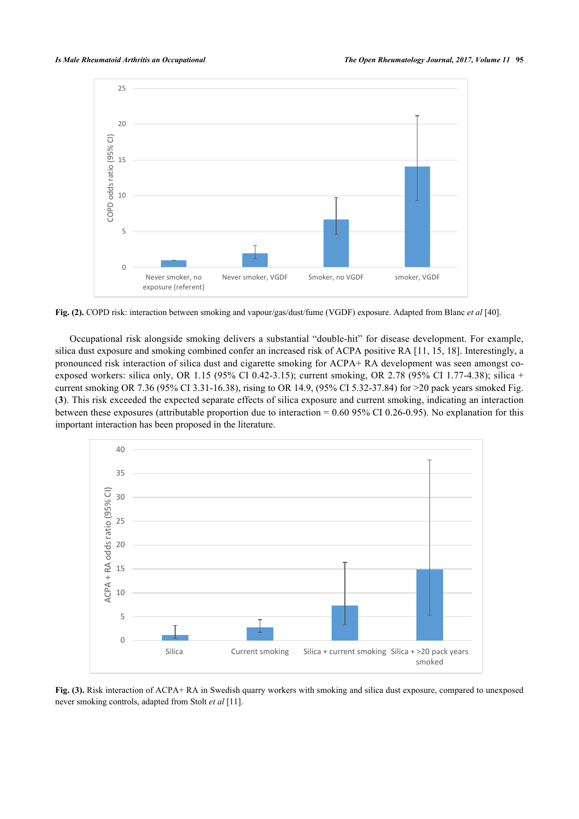

**Fig. (2).** COPD risk: interaction between smoking and vapour/gas/dust/fume (VGDF) exposure. Adapted from Blanc *et al* [\[40](#page-15-3)].

Occupational risk alongside smoking delivers a substantial "double-hit" for disease development. For example, silica dust exposure and smoking combined confer an increased risk of ACPA positive RA [\[11](#page-13-15), [15](#page-13-10), [18\]](#page-13-13). Interestingly, a pronounced risk interaction of silica dust and cigarette smoking for ACPA+ RA development was seen amongst coexposed workers: silica only, OR 1.15 (95% CI 0.42-3.15); current smoking, OR 2.78 (95% CI 1.77-4.38); silica + current smoking OR 7.36 (95% CI 3.31-16.38), rising to OR 14.9, (95% CI 5.32-37.84) for >20 pack years smoked Fig. (**[3](#page-7-0)**). This risk exceeded the expected separate effects of silica exposure and current smoking, indicating an interaction between these exposures (attributable proportion due to interaction = 0.60 95% CI 0.26-0.95). No explanation for this important interaction has been proposed in the literature.

<span id="page-7-0"></span>

<span id="page-7-1"></span>**Fig. (3).** Risk interaction of ACPA+ RA in Swedish quarry workers with smoking and silica dust exposure, compared to unexposed never smoking controls, adapted from Stolt *et al* [[11\]](#page-13-15).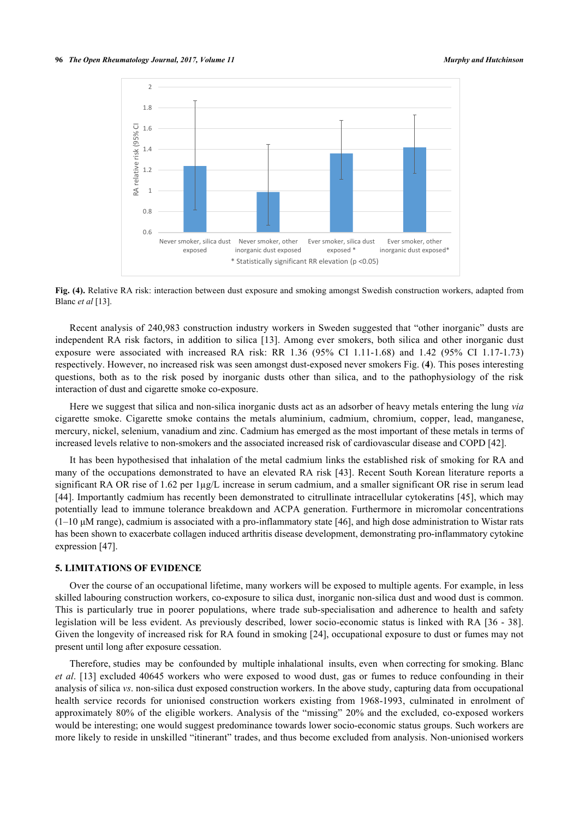

**Fig. (4).** Relative RA risk: interaction between dust exposure and smoking amongst Swedish construction workers, adapted from Blanc *et al* [[13\]](#page-13-9).

Recent analysis of 240,983 construction industry workers in Sweden suggested that "other inorganic" dusts are independent RA risk factors, in addition to silica [[13](#page-13-9)]. Among ever smokers, both silica and other inorganic dust exposure were associated with increased RA risk: RR 1.36 (95% CI 1.11-1.68) and 1.42 (95% CI 1.17-1.73) respectively. However, no increased risk was seen amongst dust-exposed never smokers Fig. (**[4](#page-7-1)**). This poses interesting questions, both as to the risk posed by inorganic dusts other than silica, and to the pathophysiology of the risk interaction of dust and cigarette smoke co-exposure.

Here we suggest that silica and non-silica inorganic dusts act as an adsorber of heavy metals entering the lung *via* cigarette smoke. Cigarette smoke contains the metals aluminium, cadmium, chromium, copper, lead, manganese, mercury, nickel, selenium, vanadium and zinc. Cadmium has emerged as the most important of these metals in terms of increased levels relative to non-smokers and the associated increased risk of cardiovascular disease and COPD [\[42](#page-15-4)].

It has been hypothesised that inhalation of the metal cadmium links the established risk of smoking for RA and many of the occupations demonstrated to have an elevated RA risk [\[43](#page-15-5)]. Recent South Korean literature reports a significant RA OR rise of 1.62 per 1µg/L increase in serum cadmium, and a smaller significant OR rise in serum lead [\[44](#page-15-6)]. Importantly cadmium has recently been demonstrated to citrullinate intracellular cytokeratins [[45\]](#page-15-1), which may potentially lead to immune tolerance breakdown and ACPA generation. Furthermore in micromolar concentrations  $(1-10 \mu)$  range), cadmium is associated with a pro-inflammatory state [[46\]](#page-15-7), and high dose administration to Wistar rats has been shown to exacerbate collagen induced arthritis disease development, demonstrating pro-inflammatory cytokine expression [\[47](#page-15-2)].

# **5. LIMITATIONS OF EVIDENCE**

Over the course of an occupational lifetime, many workers will be exposed to multiple agents. For example, in less skilled labouring construction workers, co-exposure to silica dust, inorganic non-silica dust and wood dust is common. This is particularly true in poorer populations, where trade sub-specialisation and adherence to health and safety legislation will be less evident. As previously described, lower socio-economic status is linked with RA [[36](#page-14-17) - [38\]](#page-14-18). Given the longevity of increased risk for RA found in smoking [[24](#page-14-5)], occupational exposure to dust or fumes may not present until long after exposure cessation.

Therefore, studies may be confounded by multiple inhalational insults, even when correcting for smoking. Blanc *et al*. [\[13\]](#page-13-9) excluded 40645 workers who were exposed to wood dust, gas or fumes to reduce confounding in their analysis of silica *vs*. non-silica dust exposed construction workers. In the above study, capturing data from occupational health service records for unionised construction workers existing from 1968-1993, culminated in enrolment of approximately 80% of the eligible workers. Analysis of the "missing" 20% and the excluded, co-exposed workers would be interesting; one would suggest predominance towards lower socio-economic status groups. Such workers are more likely to reside in unskilled "itinerant" trades, and thus become excluded from analysis. Non-unionised workers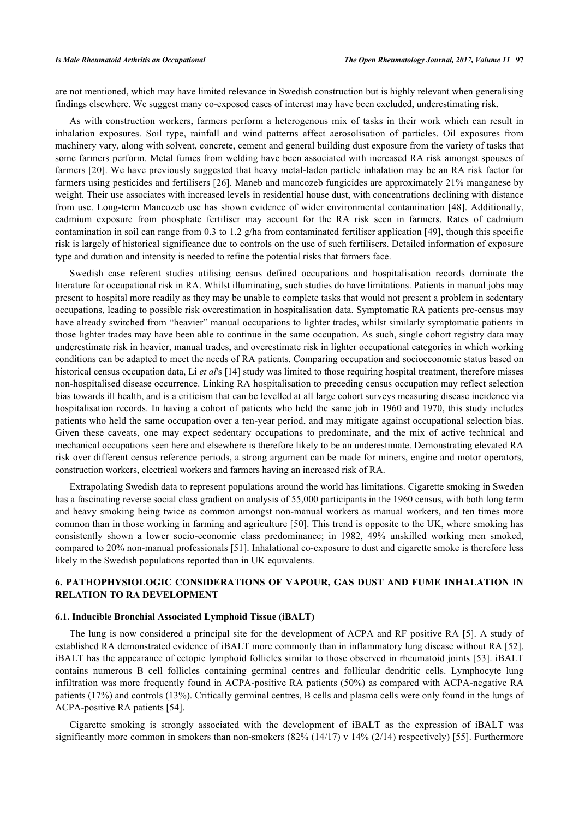are not mentioned, which may have limited relevance in Swedish construction but is highly relevant when generalising findings elsewhere. We suggest many co-exposed cases of interest may have been excluded, underestimating risk.

As with construction workers, farmers perform a heterogenous mix of tasks in their work which can result in inhalation exposures. Soil type, rainfall and wind patterns affect aerosolisation of particles. Oil exposures from machinery vary, along with solvent, concrete, cement and general building dust exposure from the variety of tasks that some farmers perform. Metal fumes from welding have been associated with increased RA risk amongst spouses of farmers [\[20\]](#page-14-1). We have previously suggested that heavy metal-laden particle inhalation may be an RA risk factor for farmers using pesticides and fertilisers [[26\]](#page-14-7). Maneb and mancozeb fungicides are approximately 21% manganese by weight. Their use associates with increased levels in residential house dust, with concentrations declining with distance from use. Long-term Mancozeb use has shown evidence of wider environmental contamination [[48\]](#page-15-8). Additionally, cadmium exposure from phosphate fertiliser may account for the RA risk seen in farmers. Rates of cadmium contamination in soil can range from 0.3 to 1.2 g/ha from contaminated fertiliser application [[49](#page-15-9)], though this specific risk is largely of historical significance due to controls on the use of such fertilisers. Detailed information of exposure type and duration and intensity is needed to refine the potential risks that farmers face.

Swedish case referent studies utilising census defined occupations and hospitalisation records dominate the literature for occupational risk in RA. Whilst illuminating, such studies do have limitations. Patients in manual jobs may present to hospital more readily as they may be unable to complete tasks that would not present a problem in sedentary occupations, leading to possible risk overestimation in hospitalisation data. Symptomatic RA patients pre-census may have already switched from "heavier" manual occupations to lighter trades, whilst similarly symptomatic patients in those lighter trades may have been able to continue in the same occupation. As such, single cohort registry data may underestimate risk in heavier, manual trades, and overestimate risk in lighter occupational categories in which working conditions can be adapted to meet the needs of RA patients. Comparing occupation and socioeconomic status based on historical census occupation data, Li *et al*'s [\[14](#page-13-14)] study was limited to those requiring hospital treatment, therefore misses non-hospitalised disease occurrence. Linking RA hospitalisation to preceding census occupation may reflect selection bias towards ill health, and is a criticism that can be levelled at all large cohort surveys measuring disease incidence via hospitalisation records. In having a cohort of patients who held the same job in 1960 and 1970, this study includes patients who held the same occupation over a ten-year period, and may mitigate against occupational selection bias. Given these caveats, one may expect sedentary occupations to predominate, and the mix of active technical and mechanical occupations seen here and elsewhere is therefore likely to be an underestimate. Demonstrating elevated RA risk over different census reference periods, a strong argument can be made for miners, engine and motor operators, construction workers, electrical workers and farmers having an increased risk of RA.

Extrapolating Swedish data to represent populations around the world has limitations. Cigarette smoking in Sweden has a fascinating reverse social class gradient on analysis of 55,000 participants in the 1960 census, with both long term and heavy smoking being twice as common amongst non-manual workers as manual workers, and ten times more common than in those working in farming and agriculture [[50](#page-15-10)]. This trend is opposite to the UK, where smoking has consistently shown a lower socio-economic class predominance; in 1982, 49% unskilled working men smoked, compared to 20% non-manual professionals [\[51\]](#page-15-11). Inhalational co-exposure to dust and cigarette smoke is therefore less likely in the Swedish populations reported than in UK equivalents.

# **6. PATHOPHYSIOLOGIC CONSIDERATIONS OF VAPOUR, GAS DUST AND FUME INHALATION IN RELATION TO RA DEVELOPMENT**

## **6.1. Inducible Bronchial Associated Lymphoid Tissue (iBALT)**

The lung is now considered a principal site for the development of ACPA and RF positive RA [[5](#page-13-4)]. A study of established RA demonstrated evidence of iBALT more commonly than in inflammatory lung disease without RA [[52\]](#page-15-12). iBALT has the appearance of ectopic lymphoid follicles similar to those observed in rheumatoid joints [[53](#page-15-13)]. iBALT contains numerous B cell follicles containing germinal centres and follicular dendritic cells. Lymphocyte lung infiltration was more frequently found in ACPA-positive RA patients (50%) as compared with ACPA-negative RA patients (17%) and controls (13%). Critically germinal centres, B cells and plasma cells were only found in the lungs of ACPA-positive RA patients [\[54](#page-15-14)].

Cigarette smoking is strongly associated with the development of iBALT as the expression of iBALT was significantly more common in smokers than non-smokers  $(82\% (14/17) v 14\% (2/14)$  respectively) [[55](#page-15-15)]. Furthermore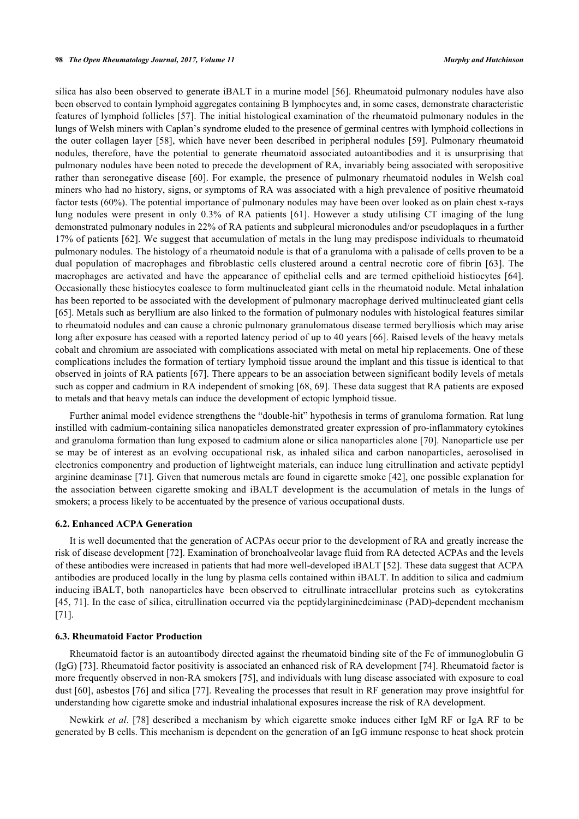silica has also been observed to generate iBALT in a murine model [[56](#page-15-16)]. Rheumatoid pulmonary nodules have also been observed to contain lymphoid aggregates containing B lymphocytes and, in some cases, demonstrate characteristic features of lymphoid follicles [[57](#page-15-17)]. The initial histological examination of the rheumatoid pulmonary nodules in the lungs of Welsh miners with Caplan's syndrome eluded to the presence of germinal centres with lymphoid collections in the outer collagen layer [[58\]](#page-15-18), which have never been described in peripheral nodules [[59\]](#page-15-19). Pulmonary rheumatoid nodules, therefore, have the potential to generate rheumatoid associated autoantibodies and it is unsurprising that pulmonary nodules have been noted to precede the development of RA, invariably being associated with seropositive rather than seronegative disease [\[60\]](#page-15-20). For example, the presence of pulmonary rheumatoid nodules in Welsh coal miners who had no history, signs, or symptoms of RA was associated with a high prevalence of positive rheumatoid factor tests (60%). The potential importance of pulmonary nodules may have been over looked as on plain chest x-rays lung nodules were present in only 0.3% of RA patients [\[61](#page-16-0)]. However a study utilising CT imaging of the lung demonstrated pulmonary nodules in 22% of RA patients and subpleural micronodules and/or pseudoplaques in a further 17% of patients [\[62\]](#page-16-1). We suggest that accumulation of metals in the lung may predispose individuals to rheumatoid pulmonary nodules. The histology of a rheumatoid nodule is that of a granuloma with a palisade of cells proven to be a dual population of macrophages and fibroblastic cells clustered around a central necrotic core of fibrin[[63\]](#page-16-2). The macrophages are activated and have the appearance of epithelial cells and are termed epithelioid histiocytes [\[64\]](#page-16-3). Occasionally these histiocytes coalesce to form multinucleated giant cells in the rheumatoid nodule. Metal inhalation has been reported to be associated with the development of pulmonary macrophage derived multinucleated giant cells [\[65](#page-16-4)]. Metals such as beryllium are also linked to the formation of pulmonary nodules with histological features similar to rheumatoid nodules and can cause a chronic pulmonary granulomatous disease termed berylliosis which may arise long after exposure has ceased with a reported latency period of up to 40 years [[66\]](#page-16-5). Raised levels of the heavy metals cobalt and chromium are associated with complications associated with metal on metal hip replacements. One of these complications includes the formation of tertiary lymphoid tissue around the implant and this tissue is identical to that observed in joints of RA patients [[67](#page-16-6)]. There appears to be an association between significant bodily levels of metals such as copper and cadmium in RA independent of smoking [\[68](#page-16-7), [69\]](#page-16-8). These data suggest that RA patients are exposed to metals and that heavy metals can induce the development of ectopic lymphoid tissue.

Further animal model evidence strengthens the "double-hit" hypothesis in terms of granuloma formation. Rat lung instilled with cadmium-containing silica nanopaticles demonstrated greater expression of pro-inflammatory cytokines and granuloma formation than lung exposed to cadmium alone or silica nanoparticles alone [[70\]](#page-16-9). Nanoparticle use per se may be of interest as an evolving occupational risk, as inhaled silica and carbon nanoparticles, aerosolised in electronics componentry and production of lightweight materials, can induce lung citrullination and activate peptidyl arginine deaminase [\[71](#page-16-10)]. Given that numerous metals are found in cigarette smoke [\[42\]](#page-15-4), one possible explanation for the association between cigarette smoking and iBALT development is the accumulation of metals in the lungs of smokers; a process likely to be accentuated by the presence of various occupational dusts.

#### **6.2. Enhanced ACPA Generation**

It is well documented that the generation of ACPAs occur prior to the development of RA and greatly increase the risk of disease development [\[72](#page-16-11)]. Examination of bronchoalveolar lavage fluid from RA detected ACPAs and the levels of these antibodies were increased in patients that had more well-developed iBALT [[52\]](#page-15-12). These data suggest that ACPA antibodies are produced locally in the lung by plasma cells contained within iBALT. In addition to silica and cadmium inducing iBALT, both nanoparticles have been observed to citrullinate intracellular proteins such as cytokeratins [\[45](#page-15-1), [71\]](#page-16-10). In the case of silica, citrullination occurred via the peptidylargininedeiminase (PAD)-dependent mechanism [\[71](#page-16-10)].

# **6.3. Rheumatoid Factor Production**

Rheumatoid factor is an autoantibody directed against the rheumatoid binding site of the Fc of immunoglobulin G (IgG) [\[73](#page-16-12)]. Rheumatoid factor positivity is associated an enhanced risk of RA development [[74\]](#page-16-13). Rheumatoid factor is more frequently observed in non-RA smokers [[75\]](#page-16-14), and individuals with lung disease associated with exposure to coal dust [[60](#page-15-20)], asbestos [\[76\]](#page-16-15) and silica [\[77\]](#page-16-16). Revealing the processes that result in RF generation may prove insightful for understanding how cigarette smoke and industrial inhalational exposures increase the risk of RA development.

Newkirk *et al*. [[78](#page-16-17)] described a mechanism by which cigarette smoke induces either IgM RF or IgA RF to be generated by B cells. This mechanism is dependent on the generation of an IgG immune response to heat shock protein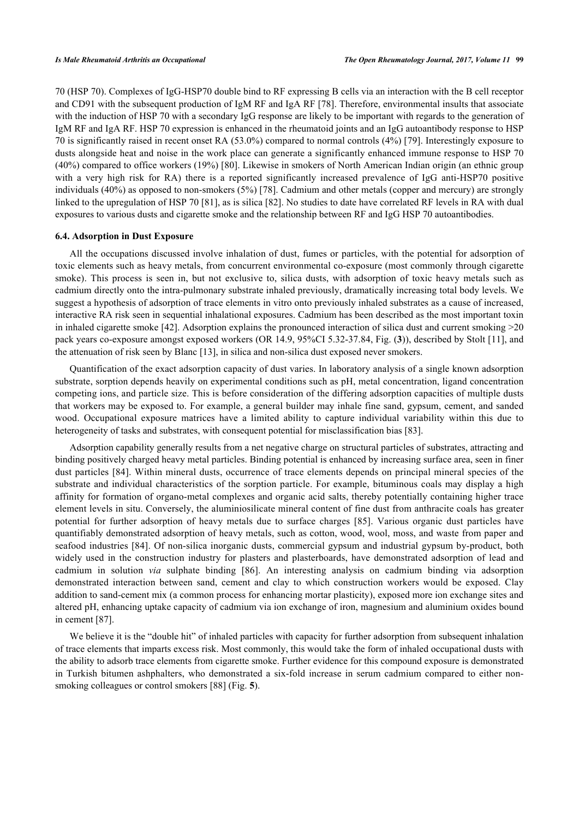70 (HSP 70). Complexes of IgG-HSP70 double bind to RF expressing B cells via an interaction with the B cell receptor and CD91 with the subsequent production of IgM RF and IgA RF [\[78\]](#page-16-17). Therefore, environmental insults that associate with the induction of HSP 70 with a secondary IgG response are likely to be important with regards to the generation of IgM RF and IgA RF. HSP 70 expression is enhanced in the rheumatoid joints and an IgG autoantibody response to HSP 70 is significantly raised in recent onset RA (53.0%) compared to normal controls (4%) [[79](#page-16-18)]. Interestingly exposure to dusts alongside heat and noise in the work place can generate a significantly enhanced immune response to HSP 70 (40%) compared to office workers (19%) [[80\]](#page-16-19). Likewise in smokers of North American Indian origin (an ethnic group with a very high risk for RA) there is a reported significantly increased prevalence of IgG anti-HSP70 positive individuals (40%) as opposed to non-smokers (5%) [\[78](#page-16-17)]. Cadmium and other metals (copper and mercury) are strongly linked to the upregulation of HSP 70 [\[81](#page-17-0)], as is silica [\[82](#page-17-1)]. No studies to date have correlated RF levels in RA with dual exposures to various dusts and cigarette smoke and the relationship between RF and IgG HSP 70 autoantibodies.

#### **6.4. Adsorption in Dust Exposure**

All the occupations discussed involve inhalation of dust, fumes or particles, with the potential for adsorption of toxic elements such as heavy metals, from concurrent environmental co-exposure (most commonly through cigarette smoke). This process is seen in, but not exclusive to, silica dusts, with adsorption of toxic heavy metals such as cadmium directly onto the intra-pulmonary substrate inhaled previously, dramatically increasing total body levels. We suggest a hypothesis of adsorption of trace elements in vitro onto previously inhaled substrates as a cause of increased, interactive RA risk seen in sequential inhalational exposures. Cadmium has been described as the most important toxin in inhaled cigarette smoke [\[42](#page-15-4)]. Adsorption explains the pronounced interaction of silica dust and current smoking  $>20$ pack years co-exposure amongst exposed workers (OR 14.9, 95%CI 5.32-37.84, Fig. (**[3](#page-7-0)**)), described by Stolt [\[11](#page-13-15)], and the attenuation of risk seen by Blanc [[13\]](#page-13-9), in silica and non-silica dust exposed never smokers.

Quantification of the exact adsorption capacity of dust varies. In laboratory analysis of a single known adsorption substrate, sorption depends heavily on experimental conditions such as pH, metal concentration, ligand concentration competing ions, and particle size. This is before consideration of the differing adsorption capacities of multiple dusts that workers may be exposed to. For example, a general builder may inhale fine sand, gypsum, cement, and sanded wood. Occupational exposure matrices have a limited ability to capture individual variability within this due to heterogeneity of tasks and substrates, with consequent potential for misclassification bias [\[83](#page-17-2)].

Adsorption capability generally results from a net negative charge on structural particles of substrates, attracting and binding positively charged heavy metal particles. Binding potential is enhanced by increasing surface area, seen in finer dust particles [[84](#page-17-3)]. Within mineral dusts, occurrence of trace elements depends on principal mineral species of the substrate and individual characteristics of the sorption particle. For example, bituminous coals may display a high affinity for formation of organo-metal complexes and organic acid salts, thereby potentially containing higher trace element levels in situ. Conversely, the aluminiosilicate mineral content of fine dust from anthracite coals has greater potential for further adsorption of heavy metals due to surface charges[[85\]](#page-17-4). Various organic dust particles have quantifiably demonstrated adsorption of heavy metals, such as cotton, wood, wool, moss, and waste from paper and seafood industries [[84\]](#page-17-3). Of non-silica inorganic dusts, commercial gypsum and industrial gypsum by-product, both widely used in the construction industry for plasters and plasterboards, have demonstrated adsorption of lead and cadmium in solution *via* sulphate binding[[86](#page-17-5)]. An interesting analysis on cadmium binding via adsorption demonstrated interaction between sand, cement and clay to which construction workers would be exposed. Clay addition to sand-cement mix (a common process for enhancing mortar plasticity), exposed more ion exchange sites and altered pH, enhancing uptake capacity of cadmium via ion exchange of iron, magnesium and aluminium oxides bound in cement [[87\]](#page-17-6).

<span id="page-11-0"></span>We believe it is the "double hit" of inhaled particles with capacity for further adsorption from subsequent inhalation of trace elements that imparts excess risk. Most commonly, this would take the form of inhaled occupational dusts with the ability to adsorb trace elements from cigarette smoke. Further evidence for this compound exposure is demonstrated in Turkish bitumen ashphalters, who demonstrated a six-fold increase in serum cadmium compared to either nonsmoking colleagues or control smokers [\[88](#page-17-7)] (Fig. **[5](#page-11-0)**).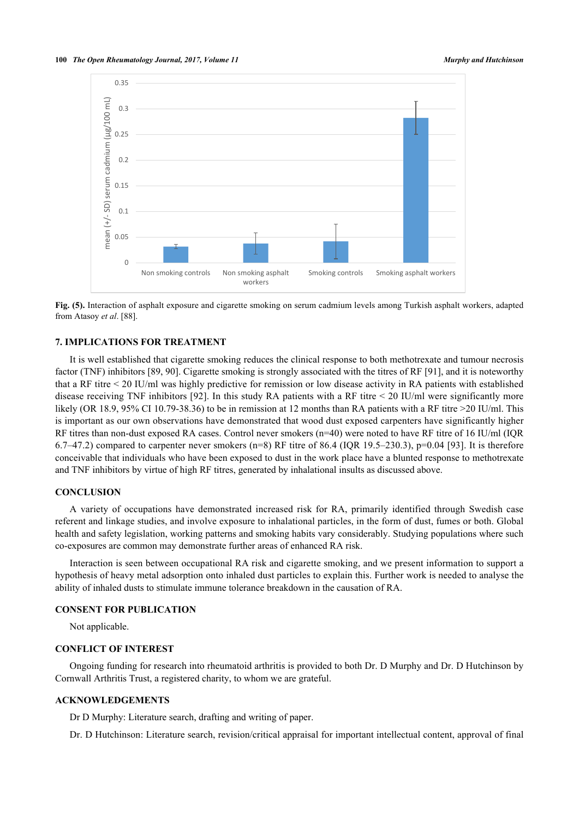

**Fig. (5).** Interaction of asphalt exposure and cigarette smoking on serum cadmium levels among Turkish asphalt workers, adapted from Atasoy *et al*. [\[88](#page-17-7)].

# **7. IMPLICATIONS FOR TREATMENT**

It is well established that cigarette smoking reduces the clinical response to both methotrexate and tumour necrosis factor (TNF) inhibitors [\[89](#page-17-8), [90](#page-17-9)]. Cigarette smoking is strongly associated with the titres of RF [\[91](#page-17-10)], and it is noteworthy that a RF titre < 20 IU/ml was highly predictive for remission or low disease activity in RA patients with established disease receiving TNF inhibitors [[92](#page-17-11)]. In this study RA patients with a RF titre < 20 IU/ml were significantly more likely (OR 18.9, 95% CI 10.79-38.36) to be in remission at 12 months than RA patients with a RF titre >20 IU/ml. This is important as our own observations have demonstrated that wood dust exposed carpenters have significantly higher RF titres than non-dust exposed RA cases. Control never smokers (n=40) were noted to have RF titre of 16 IU/ml (IQR 6.7–47.2) compared to carpenter never smokers (n=8) RF titre of 86.4 (IQR 19.5–230.3),  $p=0.04$  [\[93\]](#page-17-12). It is therefore conceivable that individuals who have been exposed to dust in the work place have a blunted response to methotrexate and TNF inhibitors by virtue of high RF titres, generated by inhalational insults as discussed above.

# **CONCLUSION**

A variety of occupations have demonstrated increased risk for RA, primarily identified through Swedish case referent and linkage studies, and involve exposure to inhalational particles, in the form of dust, fumes or both. Global health and safety legislation, working patterns and smoking habits vary considerably. Studying populations where such co-exposures are common may demonstrate further areas of enhanced RA risk.

Interaction is seen between occupational RA risk and cigarette smoking, and we present information to support a hypothesis of heavy metal adsorption onto inhaled dust particles to explain this. Further work is needed to analyse the ability of inhaled dusts to stimulate immune tolerance breakdown in the causation of RA.

# **CONSENT FOR PUBLICATION**

Not applicable.

### **CONFLICT OF INTEREST**

Ongoing funding for research into rheumatoid arthritis is provided to both Dr. D Murphy and Dr. D Hutchinson by Cornwall Arthritis Trust, a registered charity, to whom we are grateful.

# **ACKNOWLEDGEMENTS**

Dr D Murphy: Literature search, drafting and writing of paper.

Dr. D Hutchinson: Literature search, revision/critical appraisal for important intellectual content, approval of final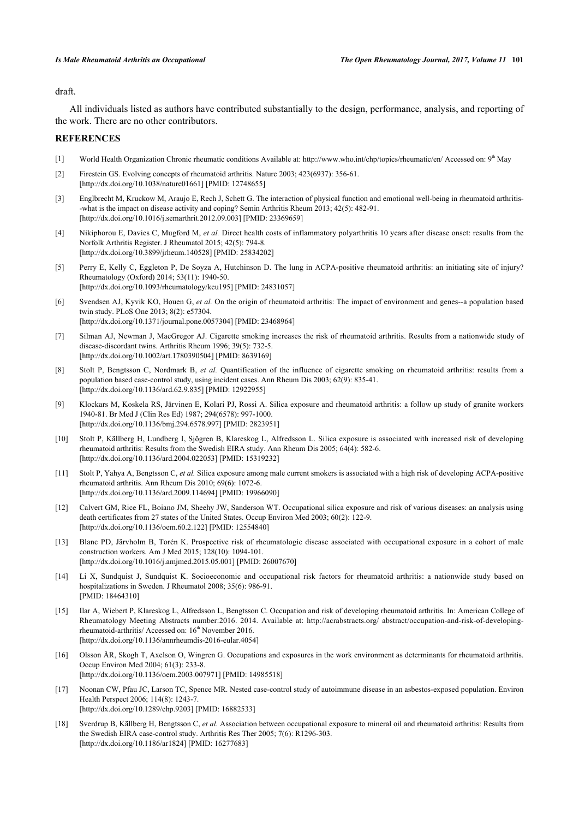# draft.

All individuals listed as authors have contributed substantially to the design, performance, analysis, and reporting of the work. There are no other contributors.

# **REFERENCES**

- <span id="page-13-0"></span>[1] World Health Organization Chronic rheumatic conditions Available at:<http://www.who.int/chp/topics/rheumatic/en/> Accessed on: 9th May
- <span id="page-13-1"></span>[2] Firestein GS. Evolving concepts of rheumatoid arthritis. Nature 2003; 423(6937): 356-61. [\[http://dx.doi.org/10.1038/nature01661\]](http://dx.doi.org/10.1038/nature01661) [PMID: [12748655](http://www.ncbi.nlm.nih.gov/pubmed/12748655)]
- <span id="page-13-2"></span>[3] Englbrecht M, Kruckow M, Araujo E, Rech J, Schett G. The interaction of physical function and emotional well-being in rheumatoid arthritis- -what is the impact on disease activity and coping? Semin Arthritis Rheum 2013; 42(5): 482-91. [\[http://dx.doi.org/10.1016/j.semarthrit.2012.09.003](http://dx.doi.org/10.1016/j.semarthrit.2012.09.003)] [PMID: [23369659](http://www.ncbi.nlm.nih.gov/pubmed/23369659)]
- <span id="page-13-3"></span>[4] Nikiphorou E, Davies C, Mugford M, *et al.* Direct health costs of inflammatory polyarthritis 10 years after disease onset: results from the Norfolk Arthritis Register. J Rheumatol 2015; 42(5): 794-8. [\[http://dx.doi.org/10.3899/jrheum.140528](http://dx.doi.org/10.3899/jrheum.140528)] [PMID: [25834202](http://www.ncbi.nlm.nih.gov/pubmed/25834202)]
- <span id="page-13-4"></span>[5] Perry E, Kelly C, Eggleton P, De Soyza A, Hutchinson D. The lung in ACPA-positive rheumatoid arthritis: an initiating site of injury? Rheumatology (Oxford) 2014; 53(11): 1940-50. [\[http://dx.doi.org/10.1093/rheumatology/keu195](http://dx.doi.org/10.1093/rheumatology/keu195)] [PMID: [24831057\]](http://www.ncbi.nlm.nih.gov/pubmed/24831057)
- <span id="page-13-5"></span>[6] Svendsen AJ, Kyvik KO, Houen G, *et al.* On the origin of rheumatoid arthritis: The impact of environment and genes--a population based twin study. PLoS One 2013; 8(2): e57304. [\[http://dx.doi.org/10.1371/journal.pone.0057304](http://dx.doi.org/10.1371/journal.pone.0057304)] [PMID: [23468964\]](http://www.ncbi.nlm.nih.gov/pubmed/23468964)
- <span id="page-13-6"></span>[7] Silman AJ, Newman J, MacGregor AJ. Cigarette smoking increases the risk of rheumatoid arthritis. Results from a nationwide study of disease-discordant twins. Arthritis Rheum 1996; 39(5): 732-5. [\[http://dx.doi.org/10.1002/art.1780390504](http://dx.doi.org/10.1002/art.1780390504)] [PMID: [8639169\]](http://www.ncbi.nlm.nih.gov/pubmed/8639169)
- <span id="page-13-7"></span>[8] Stolt P, Bengtsson C, Nordmark B, *et al.* Quantification of the influence of cigarette smoking on rheumatoid arthritis: results from a population based case-control study, using incident cases. Ann Rheum Dis 2003; 62(9): 835-41. [\[http://dx.doi.org/10.1136/ard.62.9.835](http://dx.doi.org/10.1136/ard.62.9.835)] [PMID: [12922955\]](http://www.ncbi.nlm.nih.gov/pubmed/12922955)
- <span id="page-13-8"></span>[9] Klockars M, Koskela RS, Järvinen E, Kolari PJ, Rossi A. Silica exposure and rheumatoid arthritis: a follow up study of granite workers 1940-81. Br Med J (Clin Res Ed) 1987; 294(6578): 997-1000. [\[http://dx.doi.org/10.1136/bmj.294.6578.997](http://dx.doi.org/10.1136/bmj.294.6578.997)] [PMID: [2823951\]](http://www.ncbi.nlm.nih.gov/pubmed/2823951)
- [10] Stolt P, Källberg H, Lundberg I, Sjögren B, Klareskog L, Alfredsson L. Silica exposure is associated with increased risk of developing rheumatoid arthritis: Results from the Swedish EIRA study. Ann Rheum Dis 2005; 64(4): 582-6. [\[http://dx.doi.org/10.1136/ard.2004.022053](http://dx.doi.org/10.1136/ard.2004.022053)] [PMID: [15319232\]](http://www.ncbi.nlm.nih.gov/pubmed/15319232)
- <span id="page-13-15"></span>[11] Stolt P, Yahya A, Bengtsson C, *et al.* Silica exposure among male current smokers is associated with a high risk of developing ACPA-positive rheumatoid arthritis. Ann Rheum Dis 2010; 69(6): 1072-6. [\[http://dx.doi.org/10.1136/ard.2009.114694](http://dx.doi.org/10.1136/ard.2009.114694)] [PMID: [19966090\]](http://www.ncbi.nlm.nih.gov/pubmed/19966090)
- <span id="page-13-16"></span>[12] Calvert GM, Rice FL, Boiano JM, Sheehy JW, Sanderson WT. Occupational silica exposure and risk of various diseases: an analysis using death certificates from 27 states of the United States. Occup Environ Med 2003; 60(2): 122-9. [\[http://dx.doi.org/10.1136/oem.60.2.122\]](http://dx.doi.org/10.1136/oem.60.2.122) [PMID: [12554840](http://www.ncbi.nlm.nih.gov/pubmed/12554840)]
- <span id="page-13-9"></span>[13] Blanc PD, Järvholm B, Torén K. Prospective risk of rheumatologic disease associated with occupational exposure in a cohort of male construction workers. Am J Med 2015; 128(10): 1094-101. [\[http://dx.doi.org/10.1016/j.amjmed.2015.05.001\]](http://dx.doi.org/10.1016/j.amjmed.2015.05.001) [PMID: [26007670](http://www.ncbi.nlm.nih.gov/pubmed/26007670)]
- <span id="page-13-14"></span>[14] Li X, Sundquist J, Sundquist K. Socioeconomic and occupational risk factors for rheumatoid arthritis: a nationwide study based on hospitalizations in Sweden. J Rheumatol 2008; 35(6): 986-91. [PMID: [18464310\]](http://www.ncbi.nlm.nih.gov/pubmed/18464310)
- <span id="page-13-10"></span>[15] Ilar A, Wiebert P, Klareskog L, Alfredsson L, Bengtsson C. Occupation and risk of developing rheumatoid arthritis. In: American College of Rheumatology Meeting Abstracts number:2016. 2014. Available at: [http://acrabstracts.org/ abstract/occupation-and-risk-of-developing](http://acrabstracts.org/abstract/occupation-and-risk-of-developing-rheumatoid-arthritis/)[rheumatoid-arthritis/](http://acrabstracts.org/abstract/occupation-and-risk-of-developing-rheumatoid-arthritis/) Accessed on: 16<sup>th</sup> November 2016. [\[http://dx.doi.org/10.1136/annrheumdis-2016-eular.4054](http://dx.doi.org/10.1136/annrheumdis-2016-eular.4054)]
- <span id="page-13-11"></span>[16] Olsson ÅR, Skogh T, Axelson O, Wingren G. Occupations and exposures in the work environment as determinants for rheumatoid arthritis. Occup Environ Med 2004; 61(3): 233-8. [\[http://dx.doi.org/10.1136/oem.2003.007971\]](http://dx.doi.org/10.1136/oem.2003.007971) [PMID: [14985518](http://www.ncbi.nlm.nih.gov/pubmed/14985518)]
- <span id="page-13-12"></span>[17] Noonan CW, Pfau JC, Larson TC, Spence MR. Nested case-control study of autoimmune disease in an asbestos-exposed population. Environ Health Perspect 2006; 114(8): 1243-7. [\[http://dx.doi.org/10.1289/ehp.9203](http://dx.doi.org/10.1289/ehp.9203)] [PMID: [16882533\]](http://www.ncbi.nlm.nih.gov/pubmed/16882533)
- <span id="page-13-13"></span>[18] Sverdrup B, Källberg H, Bengtsson C, *et al.* Association between occupational exposure to mineral oil and rheumatoid arthritis: Results from the Swedish EIRA case-control study. Arthritis Res Ther 2005; 7(6): R1296-303. [\[http://dx.doi.org/10.1186/ar1824](http://dx.doi.org/10.1186/ar1824)] [PMID: [16277683\]](http://www.ncbi.nlm.nih.gov/pubmed/16277683)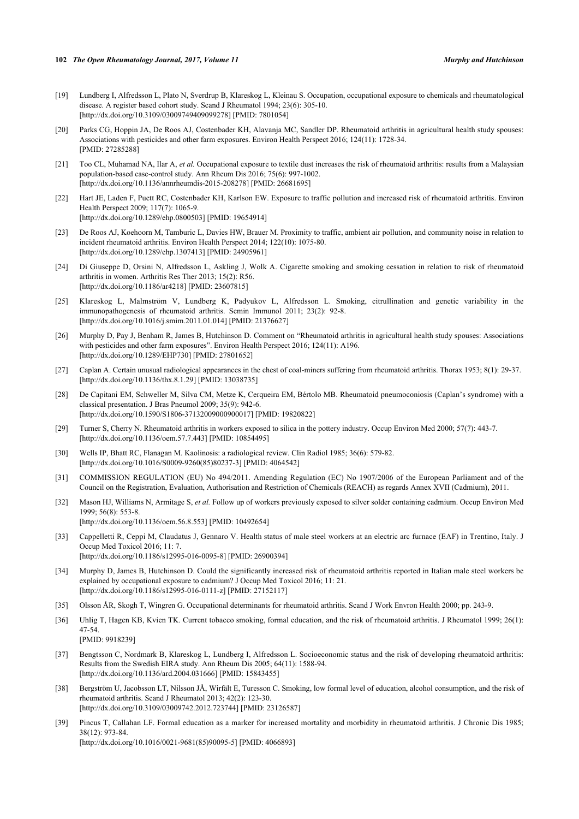- <span id="page-14-0"></span>[19] Lundberg I, Alfredsson L, Plato N, Sverdrup B, Klareskog L, Kleinau S. Occupation, occupational exposure to chemicals and rheumatological disease. A register based cohort study. Scand J Rheumatol 1994; 23(6): 305-10. [\[http://dx.doi.org/10.3109/03009749409099278\]](http://dx.doi.org/10.3109/03009749409099278) [PMID: [7801054](http://www.ncbi.nlm.nih.gov/pubmed/7801054)]
- <span id="page-14-1"></span>[20] Parks CG, Hoppin JA, De Roos AJ, Costenbader KH, Alavanja MC, Sandler DP. Rheumatoid arthritis in agricultural health study spouses: Associations with pesticides and other farm exposures. Environ Health Perspect 2016; 124(11): 1728-34. [PMID: [27285288\]](http://www.ncbi.nlm.nih.gov/pubmed/27285288)
- <span id="page-14-2"></span>[21] Too CL, Muhamad NA, Ilar A, *et al.* Occupational exposure to textile dust increases the risk of rheumatoid arthritis: results from a Malaysian population-based case-control study. Ann Rheum Dis 2016; 75(6): 997-1002. [\[http://dx.doi.org/10.1136/annrheumdis-2015-208278](http://dx.doi.org/10.1136/annrheumdis-2015-208278)] [PMID: [26681695](http://www.ncbi.nlm.nih.gov/pubmed/26681695)]
- <span id="page-14-3"></span>[22] Hart JE, Laden F, Puett RC, Costenbader KH, Karlson EW. Exposure to traffic pollution and increased risk of rheumatoid arthritis. Environ Health Perspect 2009; 117(7): 1065-9. [\[http://dx.doi.org/10.1289/ehp.0800503](http://dx.doi.org/10.1289/ehp.0800503)] [PMID: [19654914\]](http://www.ncbi.nlm.nih.gov/pubmed/19654914)
- <span id="page-14-4"></span>[23] De Roos AJ, Koehoorn M, Tamburic L, Davies HW, Brauer M. Proximity to traffic, ambient air pollution, and community noise in relation to incident rheumatoid arthritis. Environ Health Perspect 2014; 122(10): 1075-80. [\[http://dx.doi.org/10.1289/ehp.1307413](http://dx.doi.org/10.1289/ehp.1307413)] [PMID: [24905961\]](http://www.ncbi.nlm.nih.gov/pubmed/24905961)
- <span id="page-14-5"></span>[24] Di Giuseppe D, Orsini N, Alfredsson L, Askling J, Wolk A. Cigarette smoking and smoking cessation in relation to risk of rheumatoid arthritis in women. Arthritis Res Ther 2013; 15(2): R56. [\[http://dx.doi.org/10.1186/ar4218](http://dx.doi.org/10.1186/ar4218)] [PMID: [23607815\]](http://www.ncbi.nlm.nih.gov/pubmed/23607815)
- <span id="page-14-6"></span>[25] Klareskog L, Malmström V, Lundberg K, Padyukov L, Alfredsson L. Smoking, citrullination and genetic variability in the immunopathogenesis of rheumatoid arthritis. Semin Immunol 2011; 23(2): 92-8. [\[http://dx.doi.org/10.1016/j.smim.2011.01.014\]](http://dx.doi.org/10.1016/j.smim.2011.01.014) [PMID: [21376627](http://www.ncbi.nlm.nih.gov/pubmed/21376627)]
- <span id="page-14-7"></span>[26] Murphy D, Pay J, Benham R, James B, Hutchinson D. Comment on "Rheumatoid arthritis in agricultural health study spouses: Associations with pesticides and other farm exposures". Environ Health Perspect 2016; 124(11): A196. [\[http://dx.doi.org/10.1289/EHP730\]](http://dx.doi.org/10.1289/EHP730) [PMID: [27801652](http://www.ncbi.nlm.nih.gov/pubmed/27801652)]
- <span id="page-14-8"></span>[27] Caplan A. Certain unusual radiological appearances in the chest of coal-miners suffering from rheumatoid arthritis. Thorax 1953; 8(1): 29-37. [\[http://dx.doi.org/10.1136/thx.8.1.29](http://dx.doi.org/10.1136/thx.8.1.29)] [PMID: [13038735\]](http://www.ncbi.nlm.nih.gov/pubmed/13038735)
- <span id="page-14-9"></span>[28] De Capitani EM, Schweller M, Silva CM, Metze K, Cerqueira EM, Bértolo MB. Rheumatoid pneumoconiosis (Caplan's syndrome) with a classical presentation. J Bras Pneumol 2009; 35(9): 942-6. [\[http://dx.doi.org/10.1590/S1806-37132009000900017\]](http://dx.doi.org/10.1590/S1806-37132009000900017) [PMID: [19820822](http://www.ncbi.nlm.nih.gov/pubmed/19820822)]
- <span id="page-14-10"></span>[29] Turner S, Cherry N. Rheumatoid arthritis in workers exposed to silica in the pottery industry. Occup Environ Med 2000; 57(7): 443-7. [\[http://dx.doi.org/10.1136/oem.57.7.443\]](http://dx.doi.org/10.1136/oem.57.7.443) [PMID: [10854495](http://www.ncbi.nlm.nih.gov/pubmed/10854495)]
- <span id="page-14-11"></span>[30] Wells IP, Bhatt RC, Flanagan M. Kaolinosis: a radiological review. Clin Radiol 1985; 36(6): 579-82. [\[http://dx.doi.org/10.1016/S0009-9260\(85\)80237-3\]](http://dx.doi.org/10.1016/S0009-9260(85)80237-3) [PMID: [4064542](http://www.ncbi.nlm.nih.gov/pubmed/4064542)]
- <span id="page-14-12"></span>[31] COMMISSION REGULATION (EU) No 494/2011. Amending Regulation (EC) No 1907/2006 of the European Parliament and of the Council on the Registration, Evaluation, Authorisation and Restriction of Chemicals (REACH) as regards Annex XVII (Cadmium), 2011.
- <span id="page-14-13"></span>[32] Mason HJ, Williams N, Armitage S, *et al.* Follow up of workers previously exposed to silver solder containing cadmium. Occup Environ Med 1999; 56(8): 553-8. [\[http://dx.doi.org/10.1136/oem.56.8.553\]](http://dx.doi.org/10.1136/oem.56.8.553) [PMID: [10492654](http://www.ncbi.nlm.nih.gov/pubmed/10492654)]
- <span id="page-14-14"></span>[33] Cappelletti R, Ceppi M, Claudatus J, Gennaro V. Health status of male steel workers at an electric arc furnace (EAF) in Trentino, Italy. J Occup Med Toxicol 2016; 11: 7. [\[http://dx.doi.org/10.1186/s12995-016-0095-8\]](http://dx.doi.org/10.1186/s12995-016-0095-8) [PMID: [26900394](http://www.ncbi.nlm.nih.gov/pubmed/26900394)]
- <span id="page-14-15"></span>[34] Murphy D, James B, Hutchinson D. Could the significantly increased risk of rheumatoid arthritis reported in Italian male steel workers be explained by occupational exposure to cadmium? J Occup Med Toxicol 2016; 11: 21. [\[http://dx.doi.org/10.1186/s12995-016-0111-z](http://dx.doi.org/10.1186/s12995-016-0111-z)] [PMID: [27152117](http://www.ncbi.nlm.nih.gov/pubmed/27152117)]
- <span id="page-14-16"></span>[35] Olsson ÅR, Skogh T, Wingren G. Occupational determinants for rheumatoid arthritis. Scand J Work Envron Health 2000; pp. 243-9.
- <span id="page-14-17"></span>[36] Uhlig T, Hagen KB, Kvien TK. Current tobacco smoking, formal education, and the risk of rheumatoid arthritis. J Rheumatol 1999; 26(1): 47-54. [PMID: [9918239\]](http://www.ncbi.nlm.nih.gov/pubmed/9918239)
- [37] Bengtsson C, Nordmark B, Klareskog L, Lundberg I, Alfredsson L. Socioeconomic status and the risk of developing rheumatoid arthritis: Results from the Swedish EIRA study. Ann Rheum Dis 2005; 64(11): 1588-94. [\[http://dx.doi.org/10.1136/ard.2004.031666](http://dx.doi.org/10.1136/ard.2004.031666)] [PMID: [15843455\]](http://www.ncbi.nlm.nih.gov/pubmed/15843455)
- <span id="page-14-18"></span>[38] Bergström U, Jacobsson LT, Nilsson JÅ, Wirfält E, Turesson C. Smoking, low formal level of education, alcohol consumption, and the risk of rheumatoid arthritis. Scand J Rheumatol 2013; 42(2): 123-30. [\[http://dx.doi.org/10.3109/03009742.2012.723744\]](http://dx.doi.org/10.3109/03009742.2012.723744) [PMID: [23126587](http://www.ncbi.nlm.nih.gov/pubmed/23126587)]
- <span id="page-14-19"></span>[39] Pincus T, Callahan LF. Formal education as a marker for increased mortality and morbidity in rheumatoid arthritis. J Chronic Dis 1985; 38(12): 973-84. [\[http://dx.doi.org/10.1016/0021-9681\(85\)90095-5](http://dx.doi.org/10.1016/0021-9681(85)90095-5)] [PMID: [4066893](http://www.ncbi.nlm.nih.gov/pubmed/4066893)]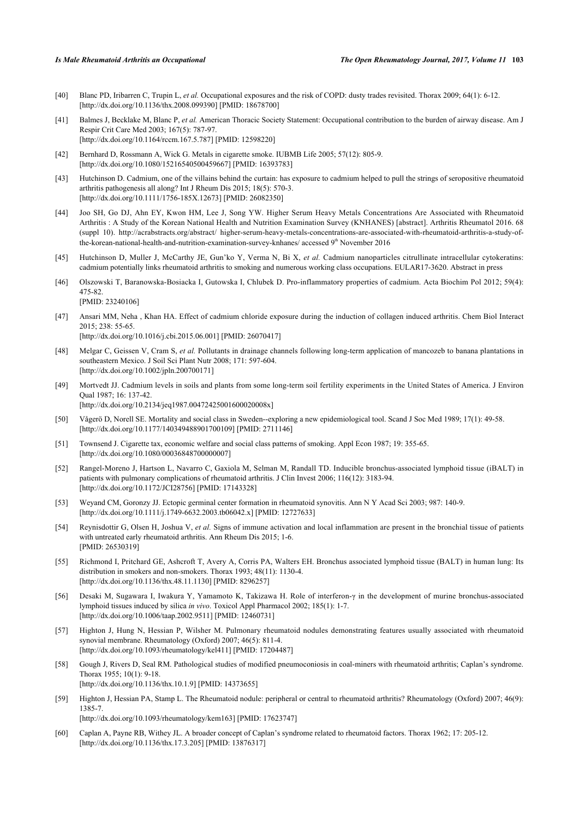- <span id="page-15-3"></span>[40] Blanc PD, Iribarren C, Trupin L, *et al.* Occupational exposures and the risk of COPD: dusty trades revisited. Thorax 2009; 64(1): 6-12. [\[http://dx.doi.org/10.1136/thx.2008.099390](http://dx.doi.org/10.1136/thx.2008.099390)] [PMID: [18678700\]](http://www.ncbi.nlm.nih.gov/pubmed/18678700)
- <span id="page-15-0"></span>[41] Balmes J, Becklake M, Blanc P, *et al.* American Thoracic Society Statement: Occupational contribution to the burden of airway disease. Am J Respir Crit Care Med 2003; 167(5): 787-97. [\[http://dx.doi.org/10.1164/rccm.167.5.787\]](http://dx.doi.org/10.1164/rccm.167.5.787) [PMID: [12598220](http://www.ncbi.nlm.nih.gov/pubmed/12598220)]
- <span id="page-15-4"></span>[42] Bernhard D, Rossmann A, Wick G. Metals in cigarette smoke. IUBMB Life 2005; 57(12): 805-9. [\[http://dx.doi.org/10.1080/15216540500459667\]](http://dx.doi.org/10.1080/15216540500459667) [PMID: [16393783](http://www.ncbi.nlm.nih.gov/pubmed/16393783)]
- <span id="page-15-5"></span>[43] Hutchinson D. Cadmium, one of the villains behind the curtain: has exposure to cadmium helped to pull the strings of seropositive rheumatoid arthritis pathogenesis all along? Int J Rheum Dis 2015; 18(5): 570-3. [\[http://dx.doi.org/10.1111/1756-185X.12673](http://dx.doi.org/10.1111/1756-185X.12673)] [PMID: [26082350\]](http://www.ncbi.nlm.nih.gov/pubmed/26082350)
- <span id="page-15-6"></span>[44] Joo SH, Go DJ, Ahn EY, Kwon HM, Lee J, Song YW. Higher Serum Heavy Metals Concentrations Are Associated with Rheumatoid Arthritis : A Study of the Korean National Health and Nutrition Examination Survey (KNHANES) [abstract]. Arthritis Rheumatol 2016. 68 (suppl 10). [http://acrabstracts.org/abstract/ higher-serum-heavy-metals-concentrations-are-associated-with-rheumatoid-arthritis-a-study-of](http://acrabstracts.org/abstract/higher-serum-heavy-metals-concentrations-are-associated-with-rheumatoid-arthritis-a-study-of-the-korean-national-health-and-nutrition-examination-survey-knhanes/)[the-korean-national-health-and-nutrition-examination-survey-knhanes/](http://acrabstracts.org/abstract/higher-serum-heavy-metals-concentrations-are-associated-with-rheumatoid-arthritis-a-study-of-the-korean-national-health-and-nutrition-examination-survey-knhanes/) accessed 9<sup>th</sup> November 2016
- <span id="page-15-1"></span>[45] Hutchinson D, Muller J, McCarthy JE, Gun'ko Y, Verma N, Bi X, *et al.* Cadmium nanoparticles citrullinate intracellular cytokeratins: cadmium potentially links rheumatoid arthritis to smoking and numerous working class occupations. EULAR17-3620. Abstract in press
- <span id="page-15-7"></span>[46] Olszowski T, Baranowska-Bosiacka I, Gutowska I, Chlubek D. Pro-inflammatory properties of cadmium. Acta Biochim Pol 2012; 59(4): 475-82. [PMID: [23240106\]](http://www.ncbi.nlm.nih.gov/pubmed/23240106)
- <span id="page-15-2"></span>[47] Ansari MM, Neha , Khan HA. Effect of cadmium chloride exposure during the induction of collagen induced arthritis. Chem Biol Interact 2015; 238: 55-65.

[\[http://dx.doi.org/10.1016/j.cbi.2015.06.001\]](http://dx.doi.org/10.1016/j.cbi.2015.06.001) [PMID: [26070417](http://www.ncbi.nlm.nih.gov/pubmed/26070417)]

- <span id="page-15-8"></span>[48] Melgar C, Geissen V, Cram S, *et al.* Pollutants in drainage channels following long-term application of mancozeb to banana plantations in southeastern Mexico. J Soil Sci Plant Nutr 2008; 171: 597-604. [\[http://dx.doi.org/10.1002/jpln.200700171](http://dx.doi.org/10.1002/jpln.200700171)]
- <span id="page-15-9"></span>[49] Mortvedt JJ. Cadmium levels in soils and plants from some long-term soil fertility experiments in the United States of America. J Environ Qual 1987; 16: 137-42. [\[http://dx.doi.org/10.2134/jeq1987.00472425001600020008x\]](http://dx.doi.org/10.2134/jeq1987.00472425001600020008x)
- <span id="page-15-10"></span>[50] Vågerö D, Norell SE. Mortality and social class in Sweden--exploring a new epidemiological tool. Scand J Soc Med 1989; 17(1): 49-58. [\[http://dx.doi.org/10.1177/140349488901700109\]](http://dx.doi.org/10.1177/140349488901700109) [PMID: [2711146](http://www.ncbi.nlm.nih.gov/pubmed/2711146)]
- <span id="page-15-11"></span>[51] Townsend J. Cigarette tax, economic welfare and social class patterns of smoking. Appl Econ 1987; 19: 355-65. [\[http://dx.doi.org/10.1080/00036848700000007\]](http://dx.doi.org/10.1080/00036848700000007)
- <span id="page-15-12"></span>[52] Rangel-Moreno J, Hartson L, Navarro C, Gaxiola M, Selman M, Randall TD. Inducible bronchus-associated lymphoid tissue (iBALT) in patients with pulmonary complications of rheumatoid arthritis. J Clin Invest 2006; 116(12): 3183-94. [\[http://dx.doi.org/10.1172/JCI28756\]](http://dx.doi.org/10.1172/JCI28756) [PMID: [17143328](http://www.ncbi.nlm.nih.gov/pubmed/17143328)]
- <span id="page-15-13"></span>[53] Weyand CM, Goronzy JJ. Ectopic germinal center formation in rheumatoid synovitis. Ann N Y Acad Sci 2003; 987: 140-9. [\[http://dx.doi.org/10.1111/j.1749-6632.2003.tb06042.x\]](http://dx.doi.org/10.1111/j.1749-6632.2003.tb06042.x) [PMID: [12727633](http://www.ncbi.nlm.nih.gov/pubmed/12727633)]
- <span id="page-15-14"></span>[54] Reynisdottir G, Olsen H, Joshua V, *et al.* Signs of immune activation and local inflammation are present in the bronchial tissue of patients with untreated early rheumatoid arthritis. Ann Rheum Dis 2015; 1-6. [PMID: [26530319\]](http://www.ncbi.nlm.nih.gov/pubmed/26530319)
- <span id="page-15-15"></span>[55] Richmond I, Pritchard GE, Ashcroft T, Avery A, Corris PA, Walters EH. Bronchus associated lymphoid tissue (BALT) in human lung: Its distribution in smokers and non-smokers. Thorax 1993; 48(11): 1130-4. [\[http://dx.doi.org/10.1136/thx.48.11.1130](http://dx.doi.org/10.1136/thx.48.11.1130)] [PMID: [8296257\]](http://www.ncbi.nlm.nih.gov/pubmed/8296257)
- <span id="page-15-16"></span>[56] Desaki M, Sugawara I, Iwakura Y, Yamamoto K, Takizawa H. Role of interferon-γ in the development of murine bronchus-associated lymphoid tissues induced by silica *in vivo*. Toxicol Appl Pharmacol 2002; 185(1): 1-7. [\[http://dx.doi.org/10.1006/taap.2002.9511](http://dx.doi.org/10.1006/taap.2002.9511)] [PMID: [12460731\]](http://www.ncbi.nlm.nih.gov/pubmed/12460731)
- <span id="page-15-17"></span>[57] Highton J, Hung N, Hessian P, Wilsher M. Pulmonary rheumatoid nodules demonstrating features usually associated with rheumatoid synovial membrane. Rheumatology (Oxford) 2007; 46(5): 811-4. [\[http://dx.doi.org/10.1093/rheumatology/kel411](http://dx.doi.org/10.1093/rheumatology/kel411)] [PMID: [17204487\]](http://www.ncbi.nlm.nih.gov/pubmed/17204487)
- <span id="page-15-18"></span>[58] Gough J, Rivers D, Seal RM. Pathological studies of modified pneumoconiosis in coal-miners with rheumatoid arthritis; Caplan's syndrome. Thorax 1955; 10(1): 9-18. [\[http://dx.doi.org/10.1136/thx.10.1.9](http://dx.doi.org/10.1136/thx.10.1.9)] [PMID: [14373655\]](http://www.ncbi.nlm.nih.gov/pubmed/14373655)
- <span id="page-15-19"></span>[59] Highton J, Hessian PA, Stamp L. The Rheumatoid nodule: peripheral or central to rheumatoid arthritis? Rheumatology (Oxford) 2007; 46(9): 1385-7.

[\[http://dx.doi.org/10.1093/rheumatology/kem163](http://dx.doi.org/10.1093/rheumatology/kem163)] [PMID: [17623747\]](http://www.ncbi.nlm.nih.gov/pubmed/17623747)

<span id="page-15-20"></span>[60] Caplan A, Payne RB, Withey JL. A broader concept of Caplan's syndrome related to rheumatoid factors. Thorax 1962; 17: 205-12. [\[http://dx.doi.org/10.1136/thx.17.3.205](http://dx.doi.org/10.1136/thx.17.3.205)] [PMID: [13876317\]](http://www.ncbi.nlm.nih.gov/pubmed/13876317)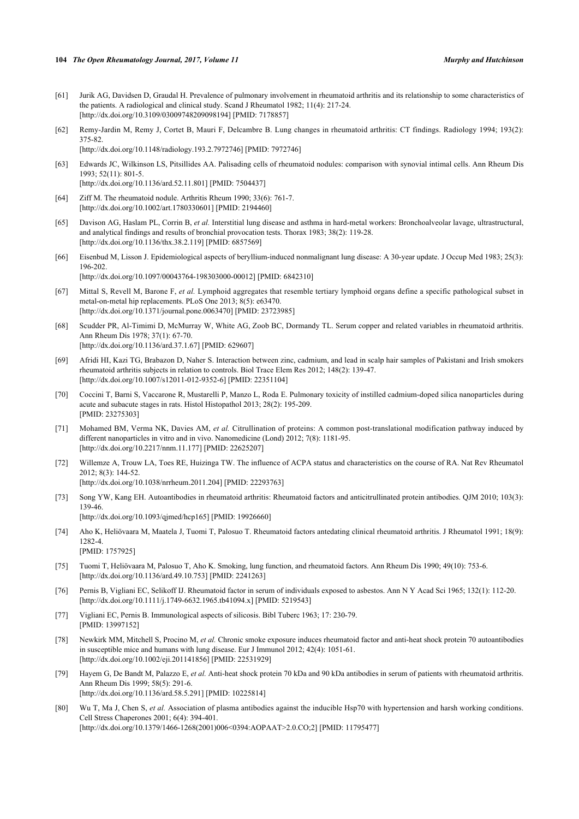- <span id="page-16-0"></span>[61] Jurik AG, Davidsen D, Graudal H. Prevalence of pulmonary involvement in rheumatoid arthritis and its relationship to some characteristics of the patients. A radiological and clinical study. Scand J Rheumatol 1982; 11(4): 217-24. [\[http://dx.doi.org/10.3109/03009748209098194\]](http://dx.doi.org/10.3109/03009748209098194) [PMID: [7178857](http://www.ncbi.nlm.nih.gov/pubmed/7178857)]
- <span id="page-16-1"></span>[62] Remy-Jardin M, Remy J, Cortet B, Mauri F, Delcambre B. Lung changes in rheumatoid arthritis: CT findings. Radiology 1994; 193(2): 375-82. [\[http://dx.doi.org/10.1148/radiology.193.2.7972746](http://dx.doi.org/10.1148/radiology.193.2.7972746)] [PMID: [7972746](http://www.ncbi.nlm.nih.gov/pubmed/7972746)]

<span id="page-16-2"></span>[63] Edwards JC, Wilkinson LS, Pitsillides AA. Palisading cells of rheumatoid nodules: comparison with synovial intimal cells. Ann Rheum Dis 1993; 52(11): 801-5.

[\[http://dx.doi.org/10.1136/ard.52.11.801](http://dx.doi.org/10.1136/ard.52.11.801)] [PMID: [7504437\]](http://www.ncbi.nlm.nih.gov/pubmed/7504437)

- <span id="page-16-3"></span>[64] Ziff M. The rheumatoid nodule. Arthritis Rheum 1990; 33(6): 761-7. [\[http://dx.doi.org/10.1002/art.1780330601](http://dx.doi.org/10.1002/art.1780330601)] [PMID: [2194460\]](http://www.ncbi.nlm.nih.gov/pubmed/2194460)
- <span id="page-16-4"></span>[65] Davison AG, Haslam PL, Corrin B, *et al.* Interstitial lung disease and asthma in hard-metal workers: Bronchoalveolar lavage, ultrastructural, and analytical findings and results of bronchial provocation tests. Thorax 1983; 38(2): 119-28. [\[http://dx.doi.org/10.1136/thx.38.2.119](http://dx.doi.org/10.1136/thx.38.2.119)] [PMID: [6857569\]](http://www.ncbi.nlm.nih.gov/pubmed/6857569)
- <span id="page-16-5"></span>[66] Eisenbud M, Lisson J. Epidemiological aspects of beryllium-induced nonmalignant lung disease: A 30-year update. J Occup Med 1983; 25(3): 196-202.
	- [\[http://dx.doi.org/10.1097/00043764-198303000-00012](http://dx.doi.org/10.1097/00043764-198303000-00012)] [PMID: [6842310\]](http://www.ncbi.nlm.nih.gov/pubmed/6842310)
- <span id="page-16-6"></span>[67] Mittal S, Revell M, Barone F, *et al.* Lymphoid aggregates that resemble tertiary lymphoid organs define a specific pathological subset in metal-on-metal hip replacements. PLoS One 2013; 8(5): e63470. [\[http://dx.doi.org/10.1371/journal.pone.0063470](http://dx.doi.org/10.1371/journal.pone.0063470)] [PMID: [23723985\]](http://www.ncbi.nlm.nih.gov/pubmed/23723985)
- <span id="page-16-7"></span>[68] Scudder PR, Al-Timimi D, McMurray W, White AG, Zoob BC, Dormandy TL. Serum copper and related variables in rheumatoid arthritis. Ann Rheum Dis 1978; 37(1): 67-70. [\[http://dx.doi.org/10.1136/ard.37.1.67](http://dx.doi.org/10.1136/ard.37.1.67)] [PMID: [629607\]](http://www.ncbi.nlm.nih.gov/pubmed/629607)
- <span id="page-16-8"></span>[69] Afridi HI, Kazi TG, Brabazon D, Naher S. Interaction between zinc, cadmium, and lead in scalp hair samples of Pakistani and Irish smokers rheumatoid arthritis subjects in relation to controls. Biol Trace Elem Res 2012; 148(2): 139-47. [\[http://dx.doi.org/10.1007/s12011-012-9352-6\]](http://dx.doi.org/10.1007/s12011-012-9352-6) [PMID: [22351104](http://www.ncbi.nlm.nih.gov/pubmed/22351104)]
- <span id="page-16-9"></span>[70] Coccini T, Barni S, Vaccarone R, Mustarelli P, Manzo L, Roda E. Pulmonary toxicity of instilled cadmium-doped silica nanoparticles during acute and subacute stages in rats. Histol Histopathol 2013; 28(2): 195-209. [PMID: [23275303\]](http://www.ncbi.nlm.nih.gov/pubmed/23275303)
- <span id="page-16-10"></span>[71] Mohamed BM, Verma NK, Davies AM, *et al.* Citrullination of proteins: A common post-translational modification pathway induced by different nanoparticles in vitro and in vivo. Nanomedicine (Lond) 2012; 7(8): 1181-95. [\[http://dx.doi.org/10.2217/nnm.11.177](http://dx.doi.org/10.2217/nnm.11.177)] [PMID: [22625207\]](http://www.ncbi.nlm.nih.gov/pubmed/22625207)
- <span id="page-16-11"></span>[72] Willemze A, Trouw LA, Toes RE, Huizinga TW. The influence of ACPA status and characteristics on the course of RA. Nat Rev Rheumatol 2012; 8(3): 144-52.

[\[http://dx.doi.org/10.1038/nrrheum.2011.204\]](http://dx.doi.org/10.1038/nrrheum.2011.204) [PMID: [22293763](http://www.ncbi.nlm.nih.gov/pubmed/22293763)]

- <span id="page-16-12"></span>[73] Song YW, Kang EH. Autoantibodies in rheumatoid arthritis: Rheumatoid factors and anticitrullinated protein antibodies. QJM 2010; 103(3): 139-46.
	- [\[http://dx.doi.org/10.1093/qjmed/hcp165\]](http://dx.doi.org/10.1093/qjmed/hcp165) [PMID: [19926660](http://www.ncbi.nlm.nih.gov/pubmed/19926660)]
- <span id="page-16-13"></span>[74] Aho K, Heliövaara M, Maatela J, Tuomi T, Palosuo T. Rheumatoid factors antedating clinical rheumatoid arthritis. J Rheumatol 1991; 18(9): 1282-4. [PMID: [1757925\]](http://www.ncbi.nlm.nih.gov/pubmed/1757925)
- <span id="page-16-14"></span>[75] Tuomi T, Heliövaara M, Palosuo T, Aho K. Smoking, lung function, and rheumatoid factors. Ann Rheum Dis 1990; 49(10): 753-6. [\[http://dx.doi.org/10.1136/ard.49.10.753](http://dx.doi.org/10.1136/ard.49.10.753)] [PMID: [2241263\]](http://www.ncbi.nlm.nih.gov/pubmed/2241263)
- <span id="page-16-15"></span>[76] Pernis B, Vigliani EC, Selikoff IJ. Rheumatoid factor in serum of individuals exposed to asbestos. Ann N Y Acad Sci 1965; 132(1): 112-20. [\[http://dx.doi.org/10.1111/j.1749-6632.1965.tb41094.x\]](http://dx.doi.org/10.1111/j.1749-6632.1965.tb41094.x) [PMID: [5219543](http://www.ncbi.nlm.nih.gov/pubmed/5219543)]
- <span id="page-16-16"></span>[77] Vigliani EC, Pernis B. Immunological aspects of silicosis. Bibl Tuberc 1963; 17: 230-79. [PMID: [13997152\]](http://www.ncbi.nlm.nih.gov/pubmed/13997152)
- <span id="page-16-17"></span>[78] Newkirk MM, Mitchell S, Procino M, *et al.* Chronic smoke exposure induces rheumatoid factor and anti-heat shock protein 70 autoantibodies in susceptible mice and humans with lung disease. Eur J Immunol 2012; 42(4): 1051-61. [\[http://dx.doi.org/10.1002/eji.201141856\]](http://dx.doi.org/10.1002/eji.201141856) [PMID: [22531929](http://www.ncbi.nlm.nih.gov/pubmed/22531929)]
- <span id="page-16-18"></span>[79] Hayem G, De Bandt M, Palazzo E, *et al.* Anti-heat shock protein 70 kDa and 90 kDa antibodies in serum of patients with rheumatoid arthritis. Ann Rheum Dis 1999; 58(5): 291-6. [\[http://dx.doi.org/10.1136/ard.58.5.291](http://dx.doi.org/10.1136/ard.58.5.291)] [PMID: [10225814\]](http://www.ncbi.nlm.nih.gov/pubmed/10225814)
- <span id="page-16-19"></span>[80] Wu T, Ma J, Chen S, *et al.* Association of plasma antibodies against the inducible Hsp70 with hypertension and harsh working conditions. Cell Stress Chaperones 2001; 6(4): 394-401. [\[http://dx.doi.org/10.1379/1466-1268\(2001\)006<0394:AOPAAT>2.0.CO;2\]](http://dx.doi.org/10.1379/1466-1268(2001)006<0394:AOPAAT>2.0.CO;2) [PMID: [11795477](http://www.ncbi.nlm.nih.gov/pubmed/11795477)]